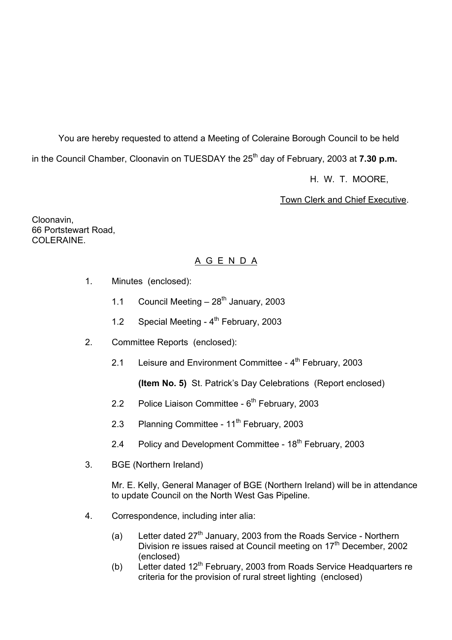You are hereby requested to attend a Meeting of Coleraine Borough Council to be held in the Council Chamber, Cloonavin on TUESDAY the 25<sup>th</sup> day of February, 2003 at **7.30 p.m.** 

H. W. T. MOORE,

Town Clerk and Chief Executive.

Cloonavin, 66 Portstewart Road, COLERAINE.

## A G E N D A

- 1. Minutes (enclosed):
	- 1.1 Council Meeting  $-28^{th}$  January, 2003
	- 1.2 Special Meeting 4<sup>th</sup> February, 2003
- 2. Committee Reports (enclosed):
	- 2.1 Leisure and Environment Committee  $4<sup>th</sup>$  February, 2003

**(Item No. 5)** St. Patrickís Day Celebrations (Report enclosed)

- 2.2 Police Liaison Committee  $6<sup>th</sup>$  February, 2003
- 2.3 Planning Committee 11<sup>th</sup> February, 2003
- 2.4 Policy and Development Committee 18<sup>th</sup> February, 2003
- 3. BGE (Northern Ireland)

 Mr. E. Kelly, General Manager of BGE (Northern Ireland) will be in attendance to update Council on the North West Gas Pipeline.

- 4. Correspondence, including inter alia:
	- (a) Letter dated  $27<sup>th</sup>$  January, 2003 from the Roads Service Northern Division re issues raised at Council meeting on 17<sup>th</sup> December, 2002 (enclosed)
	- (b) Letter dated  $12<sup>th</sup>$  February, 2003 from Roads Service Headquarters re criteria for the provision of rural street lighting (enclosed)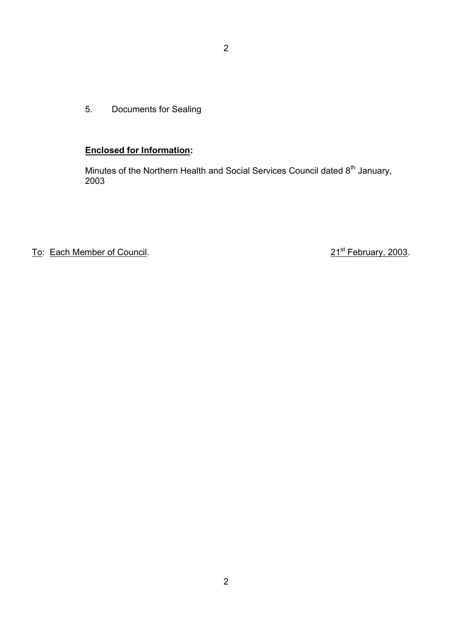5. Documents for Sealing

## **Enclosed for Information:**

Minutes of the Northern Health and Social Services Council dated 8<sup>th</sup> January, 2003

To: Each Member of Council. 21st February, 2003.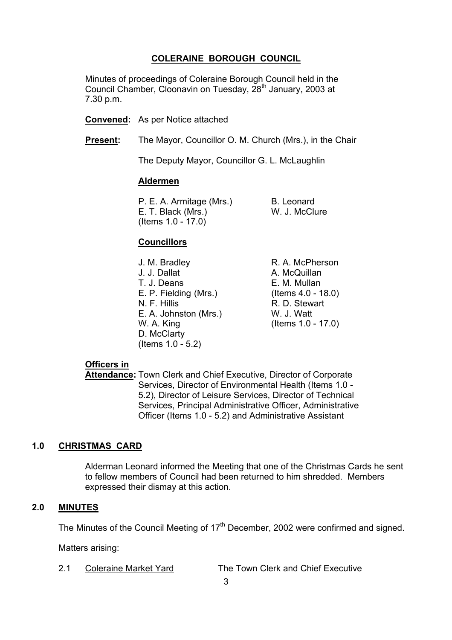## **COLERAINE BOROUGH COUNCIL**

 Minutes of proceedings of Coleraine Borough Council held in the Council Chamber, Cloonavin on Tuesday, 28<sup>th</sup> January, 2003 at 7.30 p.m.

**Convened:** As per Notice attached

**Present:** The Mayor, Councillor O. M. Church (Mrs.), in the Chair

The Deputy Mayor, Councillor G. L. McLaughlin

#### **Aldermen**

P. E. A. Armitage (Mrs.) B. Leonard E. T. Black (Mrs.) W. J. McClure (Items 1.0 - 17.0)

#### **Councillors**

J. M. Bradley R. A. McPherson J. J. Dallat A. McQuillan T. J. Deans E. M. Mullan E. P. Fielding (Mrs.) (Items 4.0 - 18.0) N. F. Hillis R. D. Stewart E. A. Johnston (Mrs.) W. J. Watt W. A. King (Items 1.0 - 17.0) D. McClarty (Items 1.0 - 5.2)

#### **Officers in**

 **Attendance:** Town Clerk and Chief Executive, Director of Corporate Services, Director of Environmental Health (Items 1.0 - 5.2), Director of Leisure Services, Director of Technical Services, Principal Administrative Officer, Administrative Officer (Items 1.0 - 5.2) and Administrative Assistant

#### **1.0 CHRISTMAS CARD**

 Alderman Leonard informed the Meeting that one of the Christmas Cards he sent to fellow members of Council had been returned to him shredded. Members expressed their dismay at this action.

#### **2.0 MINUTES**

The Minutes of the Council Meeting of 17<sup>th</sup> December, 2002 were confirmed and signed.

Matters arising:

2.1 Coleraine Market Yard The Town Clerk and Chief Executive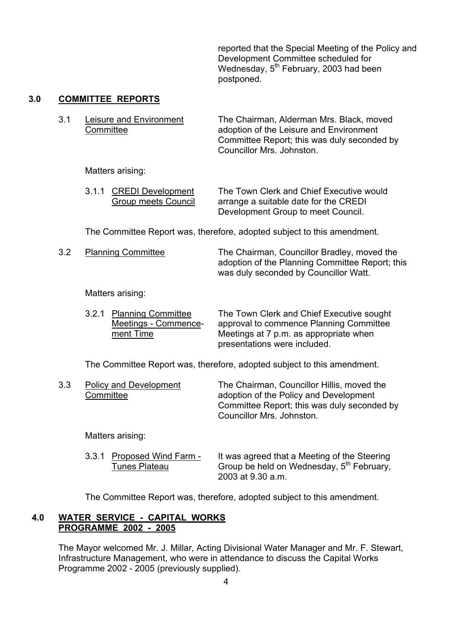reported that the Special Meeting of the Policy and Development Committee scheduled for Wednesday, 5<sup>th</sup> February, 2003 had been postponed.

## **3.0 COMMITTEE REPORTS**

| 3 1 | Leisure and Environment | The Chairman, Alderman Mrs. Black, moved    |
|-----|-------------------------|---------------------------------------------|
|     | Committee               | adoption of the Leisure and Environment     |
|     |                         | Committee Report; this was duly seconded by |
|     |                         | Councillor Mrs. Johnston.                   |

Matters arising:

| 3.1.1 CREDI Development | The Town Clerk and Chief Executive would |
|-------------------------|------------------------------------------|
| Group meets Council     | arrange a suitable date for the CREDI    |
|                         | Development Group to meet Council.       |

The Committee Report was, therefore, adopted subject to this amendment.

3.2 Planning Committee The Chairman, Councillor Bradley, moved the adoption of the Planning Committee Report; this was duly seconded by Councillor Watt.

#### Matters arising:

| 3.2.1 Planning Committee | The Town Clerk and Chief Executive sought |
|--------------------------|-------------------------------------------|
| Meetings - Commence-     | approval to commence Planning Committee   |
| ment Time                | Meetings at 7 p.m. as appropriate when    |
|                          | presentations were included.              |

The Committee Report was, therefore, adopted subject to this amendment.

| 3.3 | Policy and Development | The Chairman, Councillor Hillis, moved the  |
|-----|------------------------|---------------------------------------------|
|     | Committee              | adoption of the Policy and Development      |
|     |                        | Committee Report; this was duly seconded by |
|     |                        | Councillor Mrs. Johnston.                   |

Matters arising:

 3.3.1 Proposed Wind Farm - It was agreed that a Meeting of the Steering Tunes Plateau Group be held on Wednesday, 5<sup>th</sup> February, 2003 at 9.30 a.m.

The Committee Report was, therefore, adopted subject to this amendment.

#### **4.0 WATER SERVICE - CAPITAL WORKS PROGRAMME 2002 - 2005**

 The Mayor welcomed Mr. J. Millar, Acting Divisional Water Manager and Mr. F. Stewart, Infrastructure Management, who were in attendance to discuss the Capital Works Programme 2002 - 2005 (previously supplied).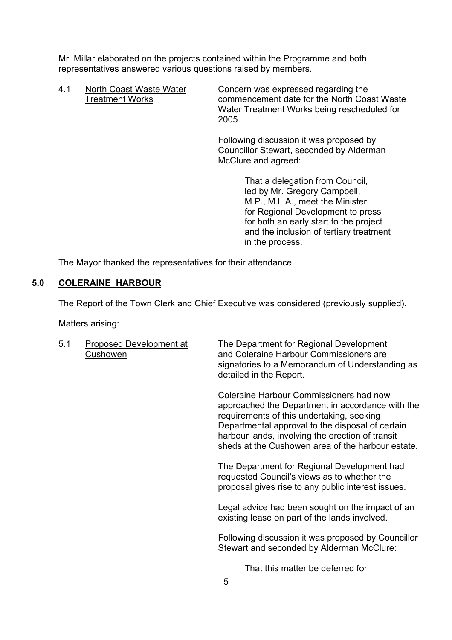Mr. Millar elaborated on the projects contained within the Programme and both representatives answered various questions raised by members.

4.1 North Coast Waste Water Concern was expressed regarding the Treatment Works commencement date for the North Coast Waste Water Treatment Works being rescheduled for 2005.

> Following discussion it was proposed by Councillor Stewart, seconded by Alderman McClure and agreed:

> > That a delegation from Council, led by Mr. Gregory Campbell, M.P., M.L.A., meet the Minister for Regional Development to press for both an early start to the project and the inclusion of tertiary treatment in the process.

The Mayor thanked the representatives for their attendance.

#### **5.0 COLERAINE HARBOUR**

The Report of the Town Clerk and Chief Executive was considered (previously supplied).

Matters arising:

 5.1 Proposed Development at The Department for Regional Development Cushowen and Coleraine Harbour Commissioners are signatories to a Memorandum of Understanding as detailed in the Report.

> Coleraine Harbour Commissioners had now approached the Department in accordance with the requirements of this undertaking, seeking Departmental approval to the disposal of certain harbour lands, involving the erection of transit sheds at the Cushowen area of the harbour estate.

 The Department for Regional Development had requested Council's views as to whether the proposal gives rise to any public interest issues.

 Legal advice had been sought on the impact of an existing lease on part of the lands involved.

Following discussion it was proposed by Councillor Stewart and seconded by Alderman McClure:

That this matter be deferred for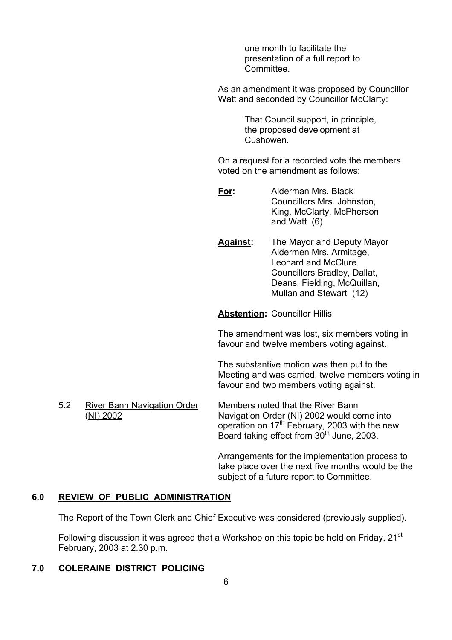one month to facilitate the presentation of a full report to **Committee.** 

As an amendment it was proposed by Councillor Watt and seconded by Councillor McClarty:

> That Council support, in principle, the proposed development at Cushowen.

On a request for a recorded vote the members voted on the amendment as follows:

**For:** Alderman Mrs. Black Councillors Mrs. Johnston, King, McClarty, McPherson and Watt (6)

**Against:** The Mayor and Deputy Mayor Aldermen Mrs. Armitage, Leonard and McClure Councillors Bradley, Dallat, Deans, Fielding, McQuillan, Mullan and Stewart (12)

**Abstention:** Councillor Hillis

The amendment was lost, six members voting in favour and twelve members voting against.

The substantive motion was then put to the Meeting and was carried, twelve members voting in favour and two members voting against.

 5.2 River Bann Navigation Order Members noted that the River Bann (NI) 2002 Navigation Order (NI) 2002 would come into operation on  $17<sup>th</sup>$  February, 2003 with the new Board taking effect from 30<sup>th</sup> June, 2003.

> Arrangements for the implementation process to take place over the next five months would be the subject of a future report to Committee.

## **6.0 REVIEW OF PUBLIC ADMINISTRATION**

The Report of the Town Clerk and Chief Executive was considered (previously supplied).

Following discussion it was agreed that a Workshop on this topic be held on Friday, 21<sup>st</sup> February, 2003 at 2.30 p.m.

## **7.0 COLERAINE DISTRICT POLICING**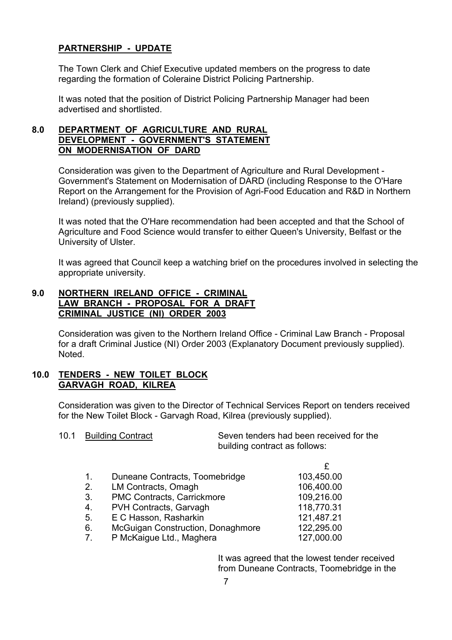## **PARTNERSHIP - UPDATE**

 The Town Clerk and Chief Executive updated members on the progress to date regarding the formation of Coleraine District Policing Partnership.

It was noted that the position of District Policing Partnership Manager had been advertised and shortlisted.

## **8.0 DEPARTMENT OF AGRICULTURE AND RURAL DEVELOPMENT - GOVERNMENT'S STATEMENT ON MODERNISATION OF DARD**

 Consideration was given to the Department of Agriculture and Rural Development - Government's Statement on Modernisation of DARD (including Response to the O'Hare Report on the Arrangement for the Provision of Agri-Food Education and R&D in Northern Ireland) (previously supplied).

It was noted that the O'Hare recommendation had been accepted and that the School of Agriculture and Food Science would transfer to either Queen's University, Belfast or the University of Ulster.

It was agreed that Council keep a watching brief on the procedures involved in selecting the appropriate university.

## **9.0 NORTHERN IRELAND OFFICE - CRIMINAL LAW BRANCH - PROPOSAL FOR A DRAFT CRIMINAL JUSTICE (NI) ORDER 2003**

 Consideration was given to the Northern Ireland Office - Criminal Law Branch - Proposal for a draft Criminal Justice (NI) Order 2003 (Explanatory Document previously supplied). Noted.

#### **10.0 TENDERS - NEW TOILET BLOCK GARVAGH ROAD, KILREA**

 Consideration was given to the Director of Technical Services Report on tenders received for the New Toilet Block - Garvagh Road, Kilrea (previously supplied).

|  | 0.1 |  | <b>Building Contract</b> |
|--|-----|--|--------------------------|
|--|-----|--|--------------------------|

 10.1 Building Contract Seven tenders had been received for the building contract as follows:

| 1.          | Duneane Contracts, Toomebridge    | 103,450.00 |
|-------------|-----------------------------------|------------|
| 2.          | LM Contracts, Omagh               | 106,400.00 |
| 3.          | PMC Contracts, Carrickmore        | 109,216.00 |
| 4.          | PVH Contracts, Garvagh            | 118,770.31 |
| 5.          | E C Hasson, Rasharkin             | 121,487.21 |
| 6.          | McGuigan Construction, Donaghmore | 122,295.00 |
| $7^{\circ}$ | P McKaigue Ltd., Maghera          | 127,000.00 |
|             |                                   |            |

 It was agreed that the lowest tender received from Duneane Contracts, Toomebridge in the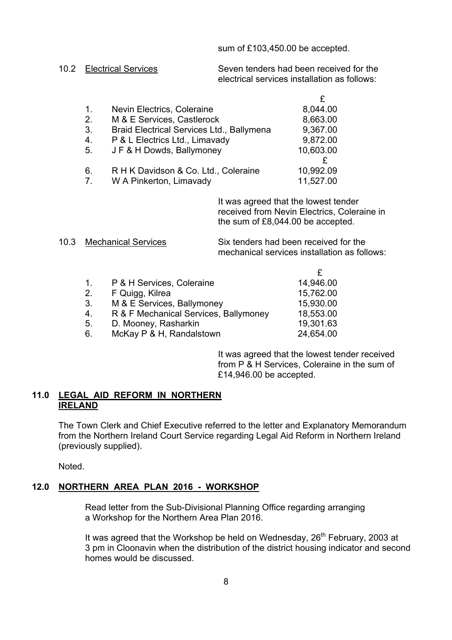sum of £103,450.00 be accepted.

10.2 Electrical Services Seven tenders had been received for the electrical services installation as follows:

| $1_{-}$     | Nevin Electrics, Coleraine                | 8,044.00  |
|-------------|-------------------------------------------|-----------|
| 2.          | M & E Services, Castlerock                | 8,663.00  |
| 3.          | Braid Electrical Services Ltd., Ballymena | 9,367.00  |
| 4.          | P & L Electrics Ltd., Limavady            | 9,872.00  |
| 5.          | JF & H Dowds, Ballymoney                  | 10,603.00 |
|             |                                           |           |
| 6.          | R H K Davidson & Co. Ltd., Coleraine      | 10,992.09 |
| $7^{\circ}$ | W A Pinkerton, Limavady                   | 11,527.00 |
|             |                                           |           |

 It was agreed that the lowest tender received from Nevin Electrics, Coleraine in the sum of £8,044.00 be accepted.

10.3 Mechanical Services Six tenders had been received for the mechanical services installation as follows:

| $1_{-}$ | P & H Services, Coleraine             | 14,946.00 |
|---------|---------------------------------------|-----------|
| 2.      | F Quigg, Kilrea                       | 15,762.00 |
| 3.      | M & E Services, Ballymoney            | 15,930.00 |
| 4.      | R & F Mechanical Services, Ballymoney | 18,553.00 |
| 5.      | D. Mooney, Rasharkin                  | 19,301.63 |
| 6.      | McKay P & H, Randalstown              | 24,654.00 |

 It was agreed that the lowest tender received from P & H Services, Coleraine in the sum of £14,946.00 be accepted.

#### **11.0 LEGAL AID REFORM IN NORTHERN IRELAND**

 The Town Clerk and Chief Executive referred to the letter and Explanatory Memorandum from the Northern Ireland Court Service regarding Legal Aid Reform in Northern Ireland (previously supplied).

Noted.

## **12.0 NORTHERN AREA PLAN 2016 - WORKSHOP**

 Read letter from the Sub-Divisional Planning Office regarding arranging a Workshop for the Northern Area Plan 2016.

It was agreed that the Workshop be held on Wednesday, 26<sup>th</sup> February, 2003 at 3 pm in Cloonavin when the distribution of the district housing indicator and second homes would be discussed.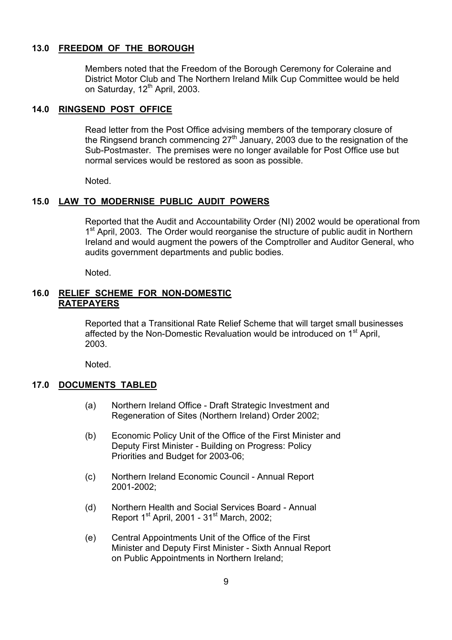### **13.0 FREEDOM OF THE BOROUGH**

 Members noted that the Freedom of the Borough Ceremony for Coleraine and District Motor Club and The Northern Ireland Milk Cup Committee would be held on Saturday, 12<sup>th</sup> April, 2003.

#### **14.0 RINGSEND POST OFFICE**

 Read letter from the Post Office advising members of the temporary closure of the Ringsend branch commencing  $27<sup>th</sup>$  January, 2003 due to the resignation of the Sub-Postmaster. The premises were no longer available for Post Office use but normal services would be restored as soon as possible.

Noted.

#### **15.0 LAW TO MODERNISE PUBLIC AUDIT POWERS**

 Reported that the Audit and Accountability Order (NI) 2002 would be operational from 1<sup>st</sup> April, 2003. The Order would reorganise the structure of public audit in Northern Ireland and would augment the powers of the Comptroller and Auditor General, who audits government departments and public bodies.

Noted.

#### **16.0 RELIEF SCHEME FOR NON-DOMESTIC RATEPAYERS**

 Reported that a Transitional Rate Relief Scheme that will target small businesses affected by the Non-Domestic Revaluation would be introduced on 1<sup>st</sup> April. 2003.

Noted.

## **17.0 DOCUMENTS TABLED**

- (a) Northern Ireland Office Draft Strategic Investment and Regeneration of Sites (Northern Ireland) Order 2002;
- (b) Economic Policy Unit of the Office of the First Minister and Deputy First Minister - Building on Progress: Policy Priorities and Budget for 2003-06;
- (c) Northern Ireland Economic Council Annual Report 2001-2002;
- (d) Northern Health and Social Services Board Annual Report  $1<sup>st</sup>$  April, 2001 -  $31<sup>st</sup>$  March, 2002;
- (e) Central Appointments Unit of the Office of the First Minister and Deputy First Minister - Sixth Annual Report on Public Appointments in Northern Ireland;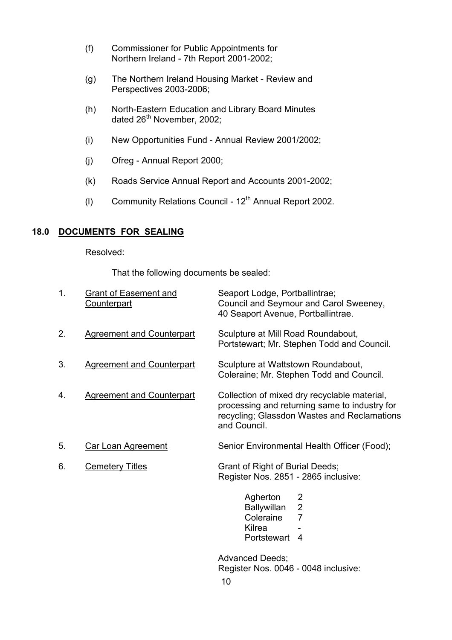- (f) Commissioner for Public Appointments for Northern Ireland - 7th Report 2001-2002;
- (g) The Northern Ireland Housing Market Review and Perspectives 2003-2006;
- (h) North-Eastern Education and Library Board Minutes dated  $26<sup>th</sup>$  November, 2002;
	- (i) New Opportunities Fund Annual Review 2001/2002;
	- (j) Ofreg Annual Report 2000;
	- (k) Roads Service Annual Report and Accounts 2001-2002;
	- (I) Community Relations Council  $12<sup>th</sup>$  Annual Report 2002.

#### **18.0 DOCUMENTS FOR SEALING**

Resolved:

That the following documents be sealed:

| 1. | <b>Grant of Easement and</b><br><b>Counterpart</b> | Seaport Lodge, Portballintrae;<br>Council and Seymour and Carol Sweeney,<br>40 Seaport Avenue, Portballintrae.                                               |
|----|----------------------------------------------------|--------------------------------------------------------------------------------------------------------------------------------------------------------------|
| 2. | <b>Agreement and Counterpart</b>                   | Sculpture at Mill Road Roundabout,<br>Portstewart; Mr. Stephen Todd and Council.                                                                             |
| 3. | <b>Agreement and Counterpart</b>                   | Sculpture at Wattstown Roundabout,<br>Coleraine; Mr. Stephen Todd and Council.                                                                               |
| 4. | <b>Agreement and Counterpart</b>                   | Collection of mixed dry recyclable material,<br>processing and returning same to industry for<br>recycling; Glassdon Wastes and Reclamations<br>and Council. |
| 5. | <b>Car Loan Agreement</b>                          | Senior Environmental Health Officer (Food);                                                                                                                  |
| 6. | <b>Cemetery Titles</b>                             | Grant of Right of Burial Deeds;<br>Register Nos. 2851 - 2865 inclusive:                                                                                      |
|    |                                                    | Agherton<br>2<br>$\overline{2}$<br><b>Ballywillan</b><br>Coleraine<br>$\overline{7}$<br>Kilrea<br>Portstewart<br>4                                           |
|    |                                                    | <b>Advanced Deeds;</b>                                                                                                                                       |

Register Nos. 0046 - 0048 inclusive: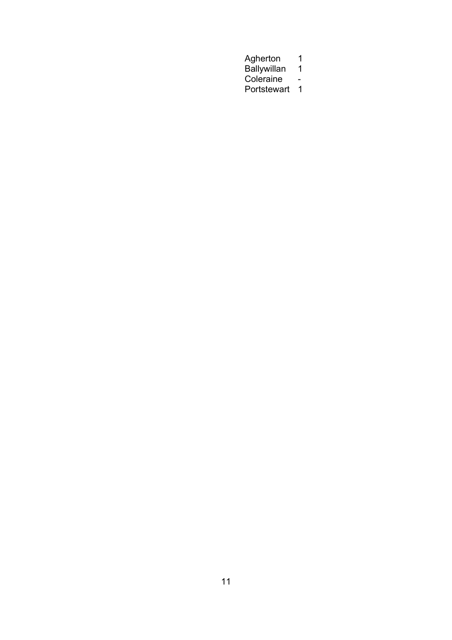Agherton 1 Ballywillan 1999 - Ballywillan 1999 - Ballywillan 1999 - Ballywillan 1999 - Ballywillan 1999 - Ballywillan 199 **Coleraine - Coleraine - Coleraine** Portstewart 1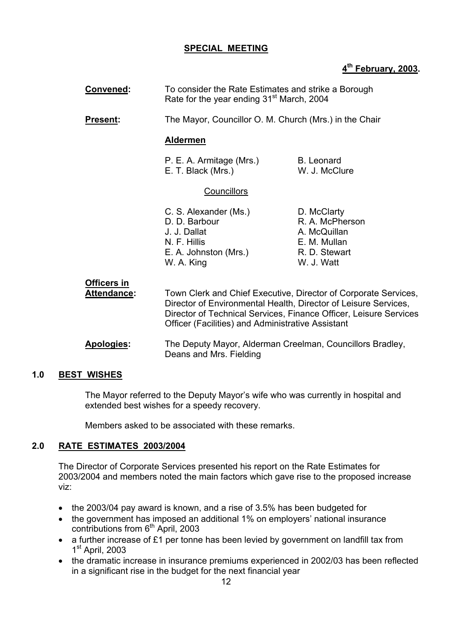### **SPECIAL MEETING**

## **4th February, 2003.**

| Convened:                                |                                                                                                               | To consider the Rate Estimates and strike a Borough<br>Rate for the year ending 31 <sup>st</sup> March, 2004                                                                                                                                                        |  |
|------------------------------------------|---------------------------------------------------------------------------------------------------------------|---------------------------------------------------------------------------------------------------------------------------------------------------------------------------------------------------------------------------------------------------------------------|--|
| <b>Present:</b>                          |                                                                                                               | The Mayor, Councillor O. M. Church (Mrs.) in the Chair                                                                                                                                                                                                              |  |
|                                          | <b>Aldermen</b>                                                                                               |                                                                                                                                                                                                                                                                     |  |
|                                          | P. E. A. Armitage (Mrs.)<br>E. T. Black (Mrs.)                                                                | <b>B.</b> Leonard<br>W. J. McClure                                                                                                                                                                                                                                  |  |
|                                          | <b>Councillors</b>                                                                                            |                                                                                                                                                                                                                                                                     |  |
|                                          | C. S. Alexander (Ms.)<br>D. D. Barbour<br>J. J. Dallat<br>N. F. Hillis<br>E. A. Johnston (Mrs.)<br>W. A. King | D. McClarty<br>R. A. McPherson<br>A. McQuillan<br>E. M. Mullan<br>R. D. Stewart<br>W. J. Watt                                                                                                                                                                       |  |
| <b>Officers in</b><br><b>Attendance:</b> |                                                                                                               | Town Clerk and Chief Executive, Director of Corporate Services,<br>Director of Environmental Health, Director of Leisure Services,<br>Director of Technical Services, Finance Officer, Leisure Services<br><b>Officer (Facilities) and Administrative Assistant</b> |  |
| Apologies:                               | Deans and Mrs. Fielding                                                                                       | The Deputy Mayor, Alderman Creelman, Councillors Bradley,                                                                                                                                                                                                           |  |

## **1.0 BEST WISHES**

The Mayor referred to the Deputy Mayor's wife who was currently in hospital and extended best wishes for a speedy recovery.

Members asked to be associated with these remarks.

## **2.0 RATE ESTIMATES 2003/2004**

 The Director of Corporate Services presented his report on the Rate Estimates for 2003/2004 and members noted the main factors which gave rise to the proposed increase viz:

- the 2003/04 pay award is known, and a rise of 3.5% has been budgeted for
- the government has imposed an additional 1% on employers' national insurance contributions from  $6<sup>th</sup>$  April, 2003
- a further increase of £1 per tonne has been levied by government on landfill tax from 1<sup>st</sup> April, 2003
- the dramatic increase in insurance premiums experienced in 2002/03 has been reflected in a significant rise in the budget for the next financial year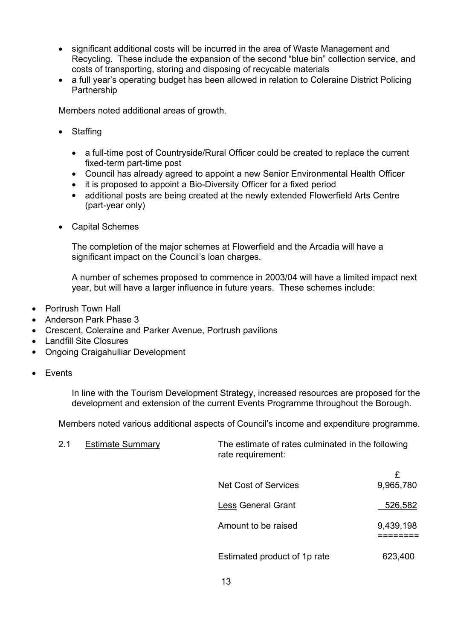- significant additional costs will be incurred in the area of Waste Management and Recycling. These include the expansion of the second "blue bin" collection service, and costs of transporting, storing and disposing of recycable materials
- a full year's operating budget has been allowed in relation to Coleraine District Policing Partnership

Members noted additional areas of growth.

- Staffing
	- a full-time post of Countryside/Rural Officer could be created to replace the current fixed-term part-time post
	- Council has already agreed to appoint a new Senior Environmental Health Officer
	- it is proposed to appoint a Bio-Diversity Officer for a fixed period
	- additional posts are being created at the newly extended Flowerfield Arts Centre (part-year only)
- Capital Schemes

The completion of the major schemes at Flowerfield and the Arcadia will have a significant impact on the Council's loan charges.

A number of schemes proposed to commence in 2003/04 will have a limited impact next year, but will have a larger influence in future years. These schemes include:

- Portrush Town Hall
- Anderson Park Phase 3
- Crescent, Coleraine and Parker Avenue, Portrush pavilions
- Landfill Site Closures
- Ongoing Craigahulliar Development
- Events

In line with the Tourism Development Strategy, increased resources are proposed for the development and extension of the current Events Programme throughout the Borough.

Members noted various additional aspects of Council's income and expenditure programme.

| 2.1 | <b>Estimate Summary</b> | The estimate of rates culminated in the following<br>rate requirement: |                |  |
|-----|-------------------------|------------------------------------------------------------------------|----------------|--|
|     |                         | Net Cost of Services                                                   | £<br>9,965,780 |  |
|     |                         | <b>Less General Grant</b>                                              | 526,582        |  |
|     |                         | Amount to be raised                                                    | 9,439,198      |  |
|     |                         | Estimated product of 1p rate                                           | 623,400        |  |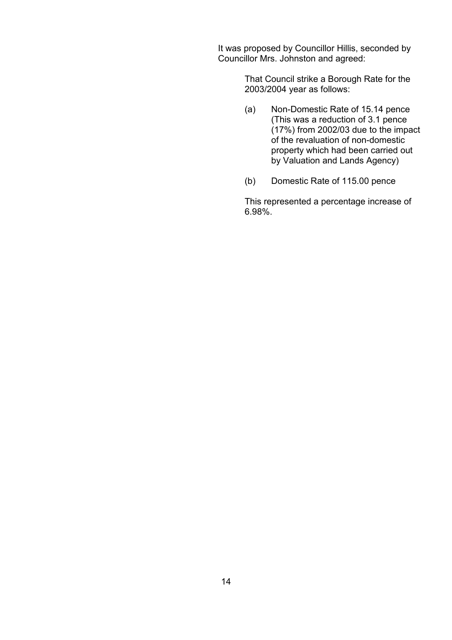It was proposed by Councillor Hillis, seconded by Councillor Mrs. Johnston and agreed:

> That Council strike a Borough Rate for the 2003/2004 year as follows:

- (a) Non-Domestic Rate of 15.14 pence (This was a reduction of 3.1 pence (17%) from 2002/03 due to the impact of the revaluation of non-domestic property which had been carried out by Valuation and Lands Agency)
- (b) Domestic Rate of 115.00 pence

 This represented a percentage increase of 6.98%.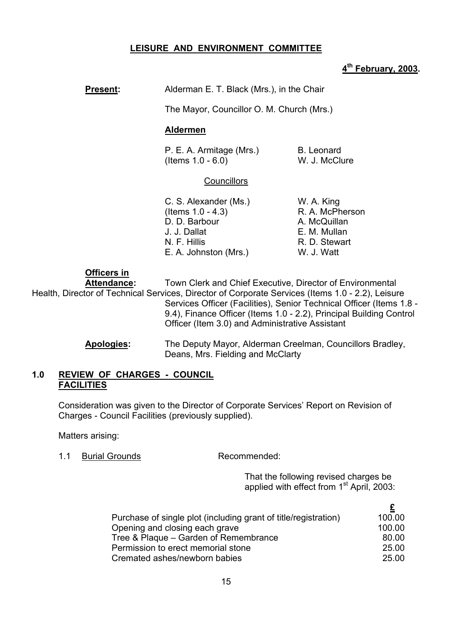### **LEISURE AND ENVIRONMENT COMMITTEE**

#### **4th February, 2003.**

## **Present:** Alderman E. T. Black (Mrs.), in the Chair

The Mayor, Councillor O. M. Church (Mrs.)

#### **Aldermen**

P. E. A. Armitage (Mrs.) B. Leonard (Items 1.0 - 6.0) W. J. McClure

#### **Councillors**

- C. S. Alexander (Ms.) W. A. King  $($ ltems  $1.0 - 4.3)$  R. A. McPherson D. D. Barbour A. McQuillan J. J. Dallat E. M. Mullan N. F. Hillis R. D. Stewart E. A. Johnston (Mrs.) W. J. Watt
- 

#### **Officers in**

 **Attendance:** Town Clerk and Chief Executive, Director of Environmental Health, Director of Technical Services, Director of Corporate Services (Items 1.0 - 2.2), Leisure Services Officer (Facilities), Senior Technical Officer (Items 1.8 - 9.4), Finance Officer (Items 1.0 - 2.2), Principal Building Control Officer (Item 3.0) and Administrative Assistant

> **Apologies:** The Deputy Mayor, Alderman Creelman, Councillors Bradley, Deans, Mrs. Fielding and McClarty

#### **1.0 REVIEW OF CHARGES - COUNCIL FACILITIES**

Consideration was given to the Director of Corporate Services' Report on Revision of Charges - Council Facilities (previously supplied).

Matters arising:

1.1 Burial Grounds Recommended:

 That the following revised charges be applied with effect from  $1<sup>st</sup>$  April, 2003:

| 100.00 |
|--------|
| 100.00 |
| 80.00  |
| 25.00  |
| 25.00  |
|        |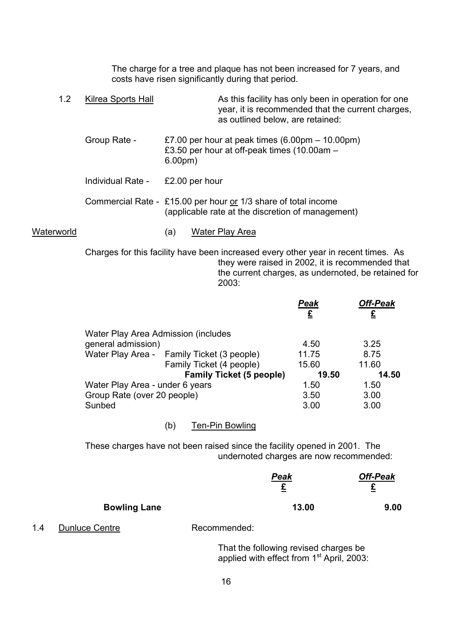The charge for a tree and plaque has not been increased for 7 years, and costs have risen significantly during that period.

1.2 Kilrea Sports Hall As this facility has only been in operation for one year, it is recommended that the current charges, as outlined below, are retained: Group Rate -  $£7.00$  per hour at peak times  $(6.00 \text{pm} - 10.00 \text{pm})$ £3.50 per hour at off-peak times  $(10.00am -$  6.00pm) Individual Rate - £2.00 per hour Commercial Rate - £15.00 per hour or 1/3 share of total income (applicable rate at the discretion of management) Waterworld (a) Water Play Area

> Charges for this facility have been increased every other year in recent times. As they were raised in 2002, it is recommended that the current charges, as undernoted, be retained for 2003:

|                                            |                                 | Peak<br>£ | <b>Off-Peak</b> |
|--------------------------------------------|---------------------------------|-----------|-----------------|
| Water Play Area Admission (includes        |                                 |           |                 |
| general admission)                         |                                 | 4.50      | 3.25            |
| Water Play Area - Family Ticket (3 people) |                                 | 11.75     | 8.75            |
|                                            | Family Ticket (4 people)        | 15.60     | 11.60           |
|                                            | <b>Family Ticket (5 people)</b> | 19.50     | 14.50           |
| Water Play Area - under 6 years            |                                 | 1.50      | 1.50            |
| Group Rate (over 20 people)                |                                 | 3.50      | 3.00            |
| Sunbed                                     |                                 | 3.00      | 3.00            |
|                                            |                                 |           |                 |

(b) Ten-Pin Bowling

These charges have not been raised since the facility opened in 2001. The undernoted charges are now recommended:

|                     | <b>Peak</b><br>£ | <b>Off-Peak</b><br>£ |
|---------------------|------------------|----------------------|
| <b>Bowling Lane</b> | 13.00            | 9.00                 |

1.4 Dunluce Centre Recommended:

 That the following revised charges be applied with effect from  $1<sup>st</sup>$  April, 2003: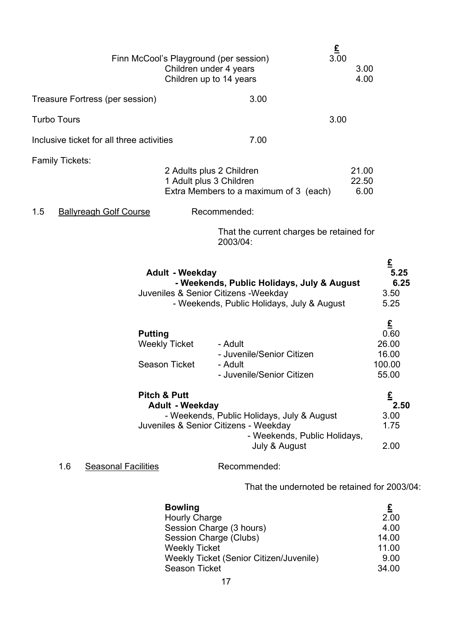|                                           | £<br>3.00<br>Finn McCool's Playground (per session)<br>Children under 4 years<br>Children up to 14 years                                                                                  | 3.00<br>4.00                                                          |
|-------------------------------------------|-------------------------------------------------------------------------------------------------------------------------------------------------------------------------------------------|-----------------------------------------------------------------------|
| Treasure Fortress (per session)           | 3.00                                                                                                                                                                                      |                                                                       |
| <b>Turbo Tours</b>                        | 3.00                                                                                                                                                                                      |                                                                       |
| Inclusive ticket for all three activities | 7.00                                                                                                                                                                                      |                                                                       |
| <b>Family Tickets:</b>                    | 2 Adults plus 2 Children<br>1 Adult plus 3 Children<br>Extra Members to a maximum of 3 (each)                                                                                             | 21.00<br>22.50<br>6.00                                                |
| 1.5<br><b>Ballyreagh Golf Course</b>      | Recommended:<br>That the current charges be retained for<br>2003/04:                                                                                                                      |                                                                       |
|                                           | <b>Adult - Weekday</b><br>- Weekends, Public Holidays, July & August<br>Juveniles & Senior Citizens - Weekday<br>- Weekends, Public Holidays, July & August                               | £<br>5.25<br>6.25<br>3.50<br>5.25                                     |
| <b>Putting</b>                            | <b>Weekly Ticket</b><br>- Adult<br>- Juvenile/Senior Citizen<br><b>Season Ticket</b><br>- Adult<br>- Juvenile/Senior Citizen                                                              | $\underline{\mathbf{f}}$<br>0.60<br>26.00<br>16.00<br>100.00<br>55.00 |
|                                           | <b>Pitch &amp; Putt</b><br><b>Adult - Weekday</b><br>- Weekends, Public Holidays, July & August<br>Juveniles & Senior Citizens - Weekday<br>- Weekends, Public Holidays,<br>July & August | £<br>2.50<br>3.00<br>1.75<br>2.00                                     |
| 1.6<br><b>Seasonal Facilities</b>         | Recommended:                                                                                                                                                                              |                                                                       |
|                                           | That the undernoted be retained for 2003/04:                                                                                                                                              |                                                                       |
|                                           | <b>Bowling</b><br><b>Hourly Charge</b>                                                                                                                                                    | £<br>2.00                                                             |

| <b>Hourly Charge</b>                    | 2.00  |
|-----------------------------------------|-------|
| Session Charge (3 hours)                | 4.00  |
| Session Charge (Clubs)                  | 14.00 |
| Weekly Ticket                           | 11.00 |
| Weekly Ticket (Senior Citizen/Juvenile) | 9.00  |
| Season Ticket                           | 34.00 |
|                                         |       |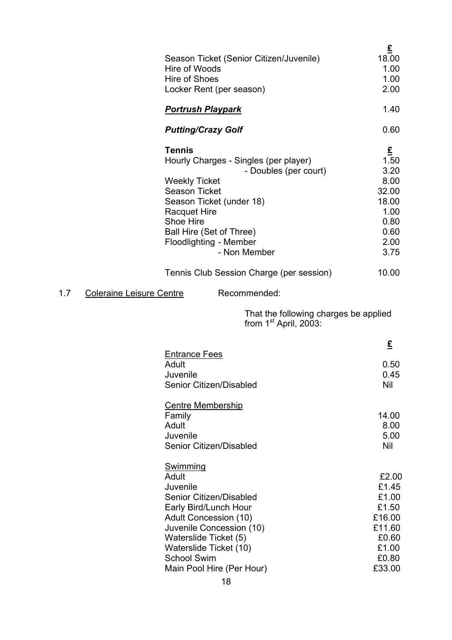|                                        | Season Ticket (Senior Citizen/Juvenile)<br>Hire of Woods<br>Hire of Shoes<br>Locker Rent (per season)                                                                                                                                                                 | £<br>18.00<br>1.00<br>1.00<br>2.00                                                  |
|----------------------------------------|-----------------------------------------------------------------------------------------------------------------------------------------------------------------------------------------------------------------------------------------------------------------------|-------------------------------------------------------------------------------------|
|                                        | <b>Portrush Playpark</b>                                                                                                                                                                                                                                              | 1.40                                                                                |
|                                        | <b>Putting/Crazy Golf</b>                                                                                                                                                                                                                                             | 0.60                                                                                |
|                                        | <b>Tennis</b><br>Hourly Charges - Singles (per player)<br>- Doubles (per court)<br><b>Weekly Ticket</b><br><b>Season Ticket</b><br>Season Ticket (under 18)<br><b>Racquet Hire</b><br>Shoe Hire<br>Ball Hire (Set of Three)<br>Floodlighting - Member<br>- Non Member | £<br>1.50<br>3.20<br>8.00<br>32.00<br>18.00<br>1.00<br>0.80<br>0.60<br>2.00<br>3.75 |
|                                        | Tennis Club Session Charge (per session)                                                                                                                                                                                                                              | 10.00                                                                               |
| 1.7<br><b>Coleraine Leisure Centre</b> | Recommended:                                                                                                                                                                                                                                                          |                                                                                     |
|                                        | That the following charges be applied<br>from $1st$ April, 2003:                                                                                                                                                                                                      |                                                                                     |
|                                        | <b>Entrance Fees</b><br>Adult<br>Juvenile<br>Senior Citizen/Disabled                                                                                                                                                                                                  | £<br>0.50<br>0.45<br>Nil                                                            |
|                                        | <b>Centre Membership</b><br>Family<br>Adult<br>Juvenile<br>Senior Citizen/Disabled                                                                                                                                                                                    | 14.00<br>8.00<br>5.00<br>Nil                                                        |
|                                        | Swimming<br>Adult<br>Juvenile<br>Senior Citizen/Disabled<br>Early Bird/Lunch Hour                                                                                                                                                                                     | £2.00<br>£1.45<br>£1.00<br>£1.50                                                    |

School Swim

Adult Concession (10) 616.00 Juvenile Concession (10)<br>
Waterslide Ticket (5) 60.60 Waterslide Ticket (5)<br>
Waterslide Ticket (10)<br>
E1.00 Waterslide Ticket (10) £1.00

Main Pool Hire (Per Hour) 633.00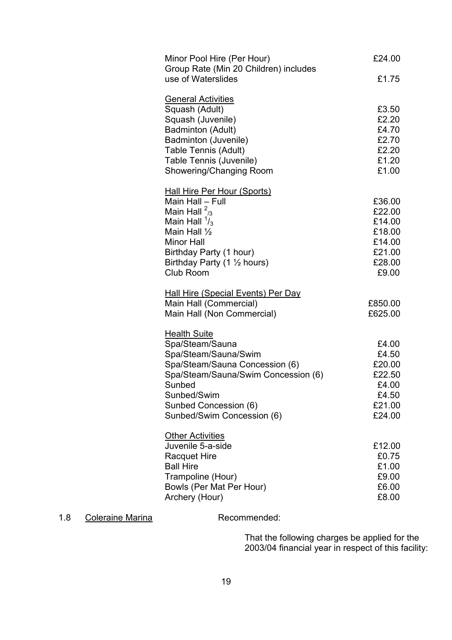| Minor Pool Hire (Per Hour)<br>Group Rate (Min 20 Children) includes | £24.00           |
|---------------------------------------------------------------------|------------------|
| use of Waterslides                                                  | £1.75            |
| <b>General Activities</b><br>Squash (Adult)                         | £3.50            |
| Squash (Juvenile)                                                   | £2.20            |
| Badminton (Adult)                                                   | £4.70            |
| Badminton (Juvenile)                                                | £2.70            |
| <b>Table Tennis (Adult)</b>                                         | £2.20            |
| Table Tennis (Juvenile)                                             | £1.20            |
| Showering/Changing Room                                             | £1.00            |
| <b>Hall Hire Per Hour (Sports)</b>                                  |                  |
| Main Hall - Full                                                    | £36.00           |
| Main Hall $\frac{2}{3}$<br>Main Hall $\frac{1}{3}$                  | £22.00<br>£14.00 |
| Main Hall $\frac{1}{2}$                                             | £18.00           |
| <b>Minor Hall</b>                                                   | £14.00           |
| Birthday Party (1 hour)                                             | £21.00           |
| Birthday Party (1 1/2 hours)                                        | £28.00           |
| Club Room                                                           | £9.00            |
| <b>Hall Hire (Special Events) Per Day</b>                           |                  |
| Main Hall (Commercial)                                              | £850.00          |
| Main Hall (Non Commercial)                                          | £625.00          |
| <b>Health Suite</b>                                                 |                  |
| Spa/Steam/Sauna<br>Spa/Steam/Sauna/Swim                             | £4.00<br>£4.50   |
| Spa/Steam/Sauna Concession (6)                                      | £20.00           |
| Spa/Steam/Sauna/Swim Concession (6)                                 | £22.50           |
| Sunbed                                                              | £4.00            |
| Sunbed/Swim                                                         | £4.50            |
| Sunbed Concession (6)                                               | £21.00           |
| Sunbed/Swim Concession (6)                                          | £24.00           |
| <b>Other Activities</b>                                             |                  |
| Juvenile 5-a-side                                                   | £12.00           |
| <b>Racquet Hire</b><br><b>Ball Hire</b>                             | £0.75<br>£1.00   |
| Trampoline (Hour)                                                   | £9.00            |
| Bowls (Per Mat Per Hour)                                            | £6.00            |
| Archery (Hour)                                                      | £8.00            |
|                                                                     |                  |

## 1.8 Coleraine Marina **Recommended:**

That the following charges be applied for the 2003/04 financial year in respect of this facility: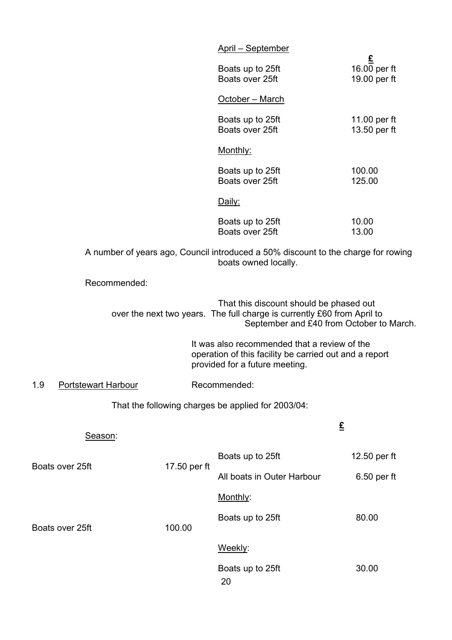|                                   |              | April - September                                                                                                                                              |                                   |
|-----------------------------------|--------------|----------------------------------------------------------------------------------------------------------------------------------------------------------------|-----------------------------------|
|                                   |              | Boats up to 25ft<br>Boats over 25ft                                                                                                                            | £<br>16.00 per ft<br>19.00 per ft |
|                                   |              | October - March                                                                                                                                                |                                   |
|                                   |              | Boats up to 25ft<br>Boats over 25ft                                                                                                                            | 11.00 per ft<br>13.50 per ft      |
|                                   |              | Monthly:                                                                                                                                                       |                                   |
|                                   |              | Boats up to 25ft<br>Boats over 25ft                                                                                                                            | 100.00<br>125.00                  |
|                                   |              | Daily:                                                                                                                                                         |                                   |
|                                   |              | Boats up to 25ft<br>Boats over 25ft                                                                                                                            | 10.00<br>13.00                    |
|                                   |              | A number of years ago, Council introduced a 50% discount to the charge for rowing<br>boats owned locally.                                                      |                                   |
| Recommended:                      |              |                                                                                                                                                                |                                   |
|                                   |              | That this discount should be phased out<br>over the next two years. The full charge is currently £60 from April to<br>September and £40 from October to March. |                                   |
|                                   |              | It was also recommended that a review of the<br>operation of this facility be carried out and a report<br>provided for a future meeting.                       |                                   |
| 1.9<br><b>Portstewart Harbour</b> |              | Recommended:                                                                                                                                                   |                                   |
|                                   |              | That the following charges be applied for 2003/04:                                                                                                             |                                   |
| Season:                           |              |                                                                                                                                                                | $\underline{\pounds}$             |
|                                   |              | Boats up to 25ft                                                                                                                                               | 12.50 per ft                      |
| Boats over 25ft                   | 17.50 per ft | All boats in Outer Harbour                                                                                                                                     | 6.50 per ft                       |
|                                   |              | Monthly:                                                                                                                                                       |                                   |
| Boats over 25ft                   | 100.00       | Boats up to 25ft                                                                                                                                               | 80.00                             |
|                                   |              | Weekly:                                                                                                                                                        |                                   |
|                                   |              | Boats up to 25ft<br>20                                                                                                                                         | 30.00                             |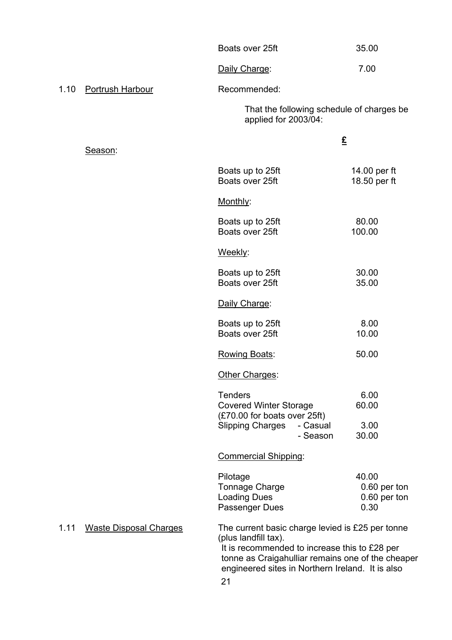| 35.00 |
|-------|
|       |

Daily Charge: 7.00

## 1.10 Portrush Harbour Recommended:

That the following schedule of charges be applied for 2003/04:

| Season:                               |                                                                                                                                                                                                                                    | £                                             |
|---------------------------------------|------------------------------------------------------------------------------------------------------------------------------------------------------------------------------------------------------------------------------------|-----------------------------------------------|
|                                       | Boats up to 25ft<br>Boats over 25ft                                                                                                                                                                                                | 14.00 per ft<br>18.50 per ft                  |
|                                       | Monthly:                                                                                                                                                                                                                           |                                               |
|                                       | Boats up to 25ft<br>Boats over 25ft                                                                                                                                                                                                | 80.00<br>100.00                               |
|                                       | Weekly:                                                                                                                                                                                                                            |                                               |
|                                       | Boats up to 25ft<br>Boats over 25ft                                                                                                                                                                                                | 30.00<br>35.00                                |
|                                       | Daily Charge:                                                                                                                                                                                                                      |                                               |
|                                       | Boats up to 25ft<br>Boats over 25ft                                                                                                                                                                                                | 8.00<br>10.00                                 |
|                                       | Rowing Boats:                                                                                                                                                                                                                      | 50.00                                         |
|                                       | Other Charges:                                                                                                                                                                                                                     |                                               |
|                                       | <b>Tenders</b><br><b>Covered Winter Storage</b><br>(£70.00 for boats over 25ft)<br><b>Slipping Charges</b><br>- Casual                                                                                                             | 6.00<br>60.00<br>3.00                         |
|                                       | - Season                                                                                                                                                                                                                           | 30.00                                         |
|                                       | <b>Commercial Shipping:</b>                                                                                                                                                                                                        |                                               |
|                                       | Pilotage<br><b>Tonnage Charge</b><br><b>Loading Dues</b><br>Passenger Dues                                                                                                                                                         | 40.00<br>0.60 per ton<br>0.60 per ton<br>0.30 |
| 1.11<br><b>Waste Disposal Charges</b> | The current basic charge levied is £25 per tonne<br>(plus landfill tax).<br>It is recommended to increase this to £28 per<br>tonne as Craigahulliar remains one of the cheaper<br>engineered sites in Northern Ireland. It is also |                                               |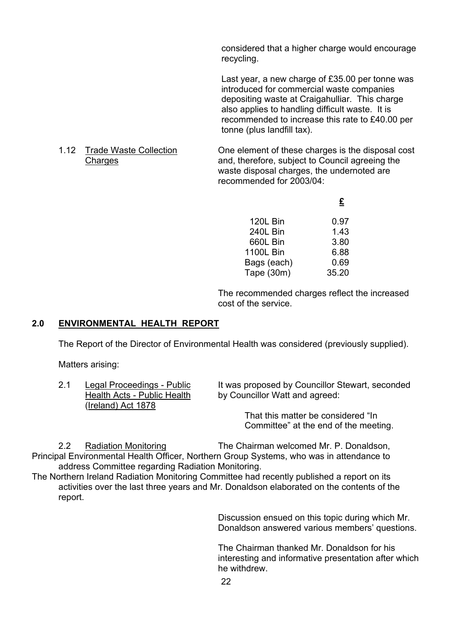considered that a higher charge would encourage recycling.

Last year, a new charge of £35.00 per tonne was introduced for commercial waste companies depositing waste at Craigahulliar. This charge also applies to handling difficult waste. It is recommended to increase this rate to £40.00 per tonne (plus landfill tax).

1.12 Trade Waste Collection One element of these charges is the disposal cost Charges **Charges and, therefore, subject to Council agreeing the** waste disposal charges, the undernoted are recommended for 2003/04:

**£** 

| 120L Bin         | 0.97  |
|------------------|-------|
| 240L Bin         | 1.43  |
| 660L Bin         | 3.80  |
| <b>1100L Bin</b> | 6.88  |
| Bags (each)      | 0.69  |
| Tape (30m)       | 35.20 |

The recommended charges reflect the increased cost of the service.

## **2.0 ENVIRONMENTAL HEALTH REPORT**

The Report of the Director of Environmental Health was considered (previously supplied).

Matters arising:

| 2.1 | Legal Proceedings - Public  |
|-----|-----------------------------|
|     | Health Acts - Public Health |
|     | (Ireland) Act 1878          |

It was proposed by Councillor Stewart, seconded by Councillor Watt and agreed:

> That this matter be considered "In Committee" at the end of the meeting.

 2.2 Radiation Monitoring The Chairman welcomed Mr. P. Donaldson, Principal Environmental Health Officer, Northern Group Systems, who was in attendance to address Committee regarding Radiation Monitoring.

The Northern Ireland Radiation Monitoring Committee had recently published a report on its activities over the last three years and Mr. Donaldson elaborated on the contents of the report.

> Discussion ensued on this topic during which Mr. Donaldson answered various members' questions.

The Chairman thanked Mr. Donaldson for his interesting and informative presentation after which he withdrew.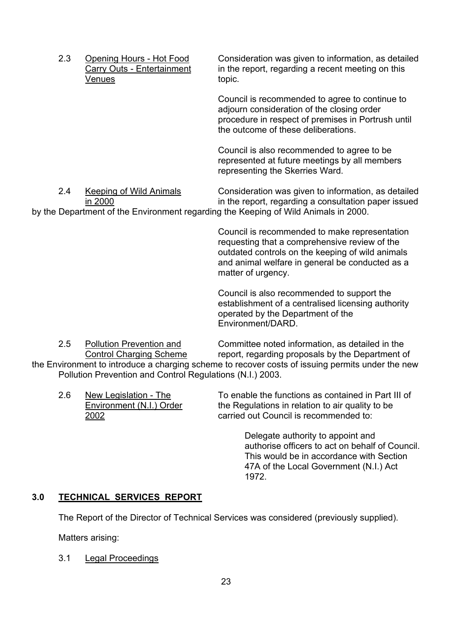2.3 Opening Hours - Hot Food Consideration was given to information, as detailed Carry Outs - Entertainment in the report, regarding a recent meeting on this Venues topic.

> Council is recommended to agree to continue to adjourn consideration of the closing order procedure in respect of premises in Portrush until the outcome of these deliberations.

Council is also recommended to agree to be represented at future meetings by all members representing the Skerries Ward.

 2.4 Keeping of Wild Animals Consideration was given to information, as detailed in 2000 in the report, regarding a consultation paper issued by the Department of the Environment regarding the Keeping of Wild Animals in 2000.

> Council is recommended to make representation requesting that a comprehensive review of the outdated controls on the keeping of wild animals and animal welfare in general be conducted as a matter of urgency.

> Council is also recommended to support the establishment of a centralised licensing authority operated by the Department of the Environment/DARD.

2.5 Pollution Prevention and Committee noted information, as detailed in the<br>Control Charging Scheme report, regarding proposals by the Department of report, regarding proposals by the Department of the Environment to introduce a charging scheme to recover costs of issuing permits under the new Pollution Prevention and Control Regulations (N.I.) 2003.

2.6 New Legislation - The To enable the functions as contained in Part III of Environment (N.I.) Order the Regulations in relation to air quality to be 2002 carried out Council is recommended to:

> Delegate authority to appoint and authorise officers to act on behalf of Council. This would be in accordance with Section 47A of the Local Government (N.I.) Act 1972.

#### **3.0 TECHNICAL SERVICES REPORT**

The Report of the Director of Technical Services was considered (previously supplied).

Matters arising:

3.1 Legal Proceedings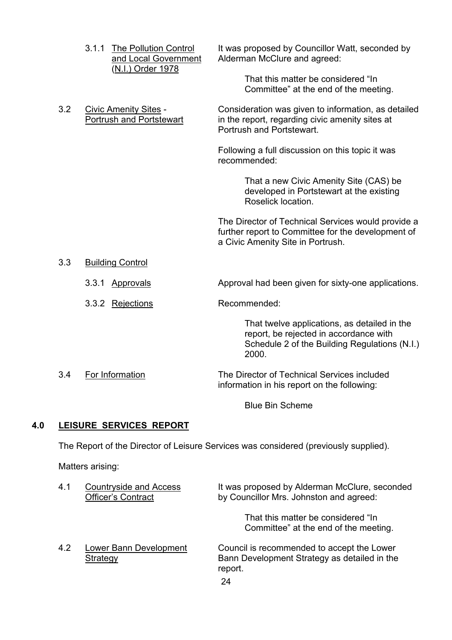|     | 3.1.1<br><b>The Pollution Control</b><br>and Local Government<br>(N.I.) Order 1978 | It was proposed by Councillor Watt, seconded by<br>Alderman McClure and agreed:<br>That this matter be considered "In<br>Committee" at the end of the meeting. |
|-----|------------------------------------------------------------------------------------|----------------------------------------------------------------------------------------------------------------------------------------------------------------|
|     |                                                                                    |                                                                                                                                                                |
| 3.2 | <b>Civic Amenity Sites -</b><br>Portrush and Portstewart                           | Consideration was given to information, as detailed<br>in the report, regarding civic amenity sites at<br>Portrush and Portstewart.                            |
|     |                                                                                    | Following a full discussion on this topic it was<br>recommended:                                                                                               |
|     |                                                                                    | That a new Civic Amenity Site (CAS) be<br>developed in Portstewart at the existing<br>Roselick location.                                                       |
|     |                                                                                    | The Director of Technical Services would provide a<br>further report to Committee for the development of<br>a Civic Amenity Site in Portrush.                  |
| 3.3 | <b>Building Control</b>                                                            |                                                                                                                                                                |
|     | 3.3.1 Approvals                                                                    | Approval had been given for sixty-one applications.                                                                                                            |
|     | 3.3.2 Rejections                                                                   | Recommended:                                                                                                                                                   |
|     |                                                                                    | That twelve applications, as detailed in the<br>report, be rejected in accordance with<br>Schedule 2 of the Building Regulations (N.I.)<br>2000.               |
| 3.4 | For Information                                                                    | The Director of Technical Services included<br>information in his report on the following:                                                                     |
|     |                                                                                    | <b>Blue Bin Scheme</b>                                                                                                                                         |

## **4.0 LEISURE SERVICES REPORT**

The Report of the Director of Leisure Services was considered (previously supplied).

Matters arising:

| 4.1 | <b>Countryside and Access</b><br><b>Officer's Contract</b> | It was proposed by Alderman McClure, seconded<br>by Councillor Mrs. Johnston and agreed:                    |
|-----|------------------------------------------------------------|-------------------------------------------------------------------------------------------------------------|
|     |                                                            | That this matter be considered "In<br>Committee" at the end of the meeting.                                 |
| 4.2 | Lower Bann Development<br>Strategy                         | Council is recommended to accept the Lower<br>Bann Development Strategy as detailed in the<br>report.<br>24 |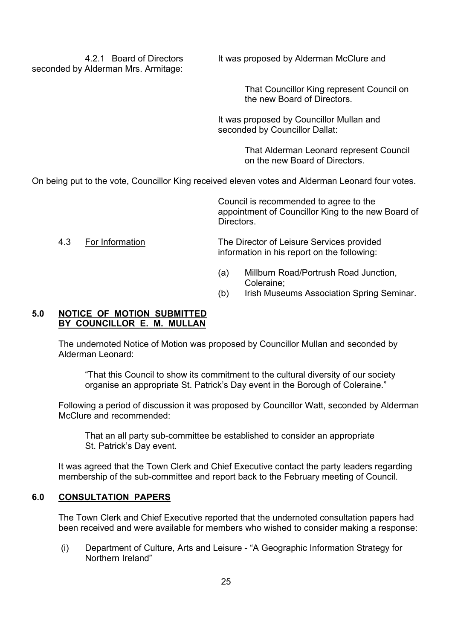seconded by Alderman Mrs. Armitage:

4.2.1 Board of Directors It was proposed by Alderman McClure and

 That Councillor King represent Council on the new Board of Directors.

It was proposed by Councillor Mullan and seconded by Councillor Dallat:

> That Alderman Leonard represent Council on the new Board of Directors.

On being put to the vote, Councillor King received eleven votes and Alderman Leonard four votes.

Council is recommended to agree to the appointment of Councillor King to the new Board of **Directors** 

#### 4.3 For Information The Director of Leisure Services provided information in his report on the following:

- (a) Millburn Road/Portrush Road Junction, Coleraine;
- (b) Irish Museums Association Spring Seminar.

#### **5.0 NOTICE OF MOTION SUBMITTED BY COUNCILLOR E. M. MULLAN**

The undernoted Notice of Motion was proposed by Councillor Mullan and seconded by Alderman Leonard:

 ìThat this Council to show its commitment to the cultural diversity of our society organise an appropriate St. Patrick's Day event in the Borough of Coleraine."

Following a period of discussion it was proposed by Councillor Watt, seconded by Alderman McClure and recommended:

 That an all party sub-committee be established to consider an appropriate St. Patrick's Day event.

It was agreed that the Town Clerk and Chief Executive contact the party leaders regarding membership of the sub-committee and report back to the February meeting of Council.

#### **6.0 CONSULTATION PAPERS**

The Town Clerk and Chief Executive reported that the undernoted consultation papers had been received and were available for members who wished to consider making a response:

(i) Department of Culture, Arts and Leisure - "A Geographic Information Strategy for Northern Ireland"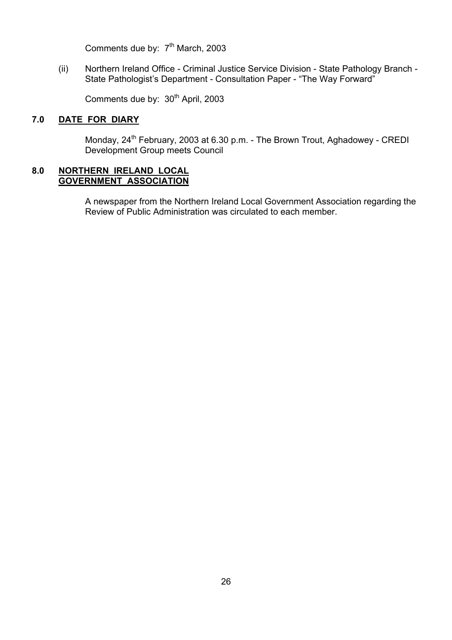Comments due by: 7<sup>th</sup> March, 2003

(ii) Northern Ireland Office - Criminal Justice Service Division - State Pathology Branch - State Pathologist's Department - Consultation Paper - "The Way Forward"

Comments due by: 30<sup>th</sup> April, 2003

## **7.0 DATE FOR DIARY**

Monday, 24<sup>th</sup> February, 2003 at 6.30 p.m. - The Brown Trout, Aghadowey - CREDI Development Group meets Council

#### **8.0 NORTHERN IRELAND LOCAL GOVERNMENT ASSOCIATION**

 A newspaper from the Northern Ireland Local Government Association regarding the Review of Public Administration was circulated to each member.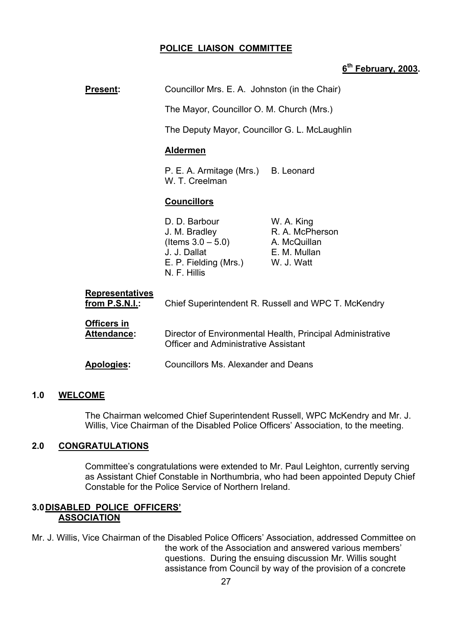#### **POLICE LIAISON COMMITTEE**

#### **6th February, 2003.**

**Present:** Councillor Mrs. E. A. Johnston (in the Chair)

The Mayor, Councillor O. M. Church (Mrs.)

The Deputy Mayor, Councillor G. L. McLaughlin

#### **Aldermen**

P. E. A. Armitage (Mrs.) B. Leonard W. T. Creelman

#### **Councillors**

D. D. Barbour W. A. King J. M. Bradley R. A. McPherson  $($ ltems  $3.0 - 5.0)$  A. McQuillan J. J. Dallat E. M. Mullan E. P. Fielding (Mrs.) W. J. Watt N. F. Hillis

| <b>Representatives</b><br>from P.S.N.I.: | Chief Superintendent R. Russell and WPC T. McKendry                                                       |
|------------------------------------------|-----------------------------------------------------------------------------------------------------------|
| <b>Officers in</b><br><b>Attendance:</b> | Director of Environmental Health, Principal Administrative<br><b>Officer and Administrative Assistant</b> |
| <b>Apologies:</b>                        | Councillors Ms. Alexander and Deans                                                                       |

#### **1.0 WELCOME**

The Chairman welcomed Chief Superintendent Russell, WPC McKendry and Mr. J. Willis, Vice Chairman of the Disabled Police Officers' Association, to the meeting.

#### **2.0 CONGRATULATIONS**

Committeeís congratulations were extended to Mr. Paul Leighton, currently serving as Assistant Chief Constable in Northumbria, who had been appointed Deputy Chief Constable for the Police Service of Northern Ireland.

#### **3.0 DISABLED POLICE OFFICERSí ASSOCIATION**

Mr. J. Willis, Vice Chairman of the Disabled Police Officersí Association, addressed Committee on the work of the Association and answered various members' questions. During the ensuing discussion Mr. Willis sought assistance from Council by way of the provision of a concrete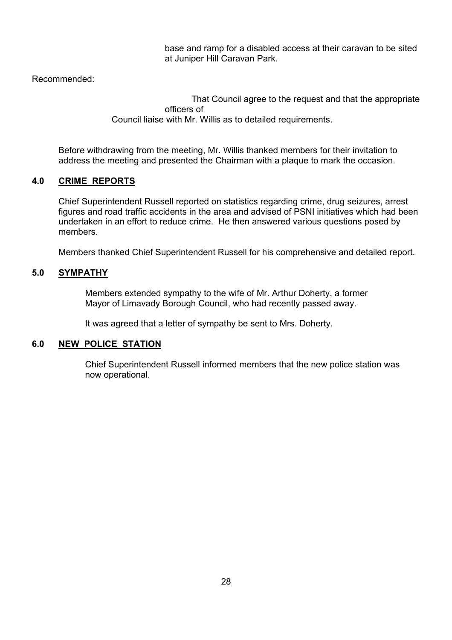base and ramp for a disabled access at their caravan to be sited at Juniper Hill Caravan Park.

Recommended:

 That Council agree to the request and that the appropriate officers of Council liaise with Mr. Willis as to detailed requirements.

Before withdrawing from the meeting, Mr. Willis thanked members for their invitation to address the meeting and presented the Chairman with a plaque to mark the occasion.

## **4.0 CRIME REPORTS**

 Chief Superintendent Russell reported on statistics regarding crime, drug seizures, arrest figures and road traffic accidents in the area and advised of PSNI initiatives which had been undertaken in an effort to reduce crime. He then answered various questions posed by members.

Members thanked Chief Superintendent Russell for his comprehensive and detailed report.

#### **5.0 SYMPATHY**

 Members extended sympathy to the wife of Mr. Arthur Doherty, a former Mayor of Limavady Borough Council, who had recently passed away.

It was agreed that a letter of sympathy be sent to Mrs. Doherty.

#### **6.0 NEW POLICE STATION**

 Chief Superintendent Russell informed members that the new police station was now operational.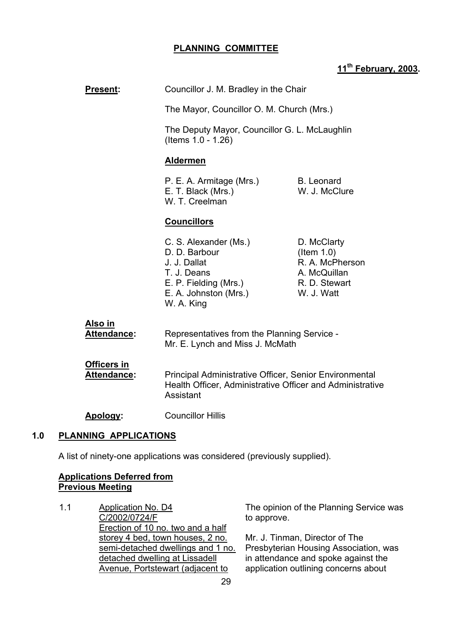## **PLANNING COMMITTEE**

## **11th February, 2003.**

| Present:                            | Councillor J. M. Bradley in the Chair                                                                                                 |                                                                                                |  |
|-------------------------------------|---------------------------------------------------------------------------------------------------------------------------------------|------------------------------------------------------------------------------------------------|--|
|                                     | The Mayor, Councillor O. M. Church (Mrs.)<br>The Deputy Mayor, Councillor G. L. McLaughlin<br>(Items 1.0 - 1.26)                      |                                                                                                |  |
|                                     |                                                                                                                                       |                                                                                                |  |
|                                     | <b>Aldermen</b>                                                                                                                       |                                                                                                |  |
|                                     | P. E. A. Armitage (Mrs.)<br>E. T. Black (Mrs.)<br>W. T. Creelman                                                                      | <b>B.</b> Leonard<br>W. J. McClure                                                             |  |
|                                     | <b>Councillors</b>                                                                                                                    |                                                                                                |  |
|                                     | C. S. Alexander (Ms.)<br>D. D. Barbour<br>J. J. Dallat<br>T. J. Deans<br>E. P. Fielding (Mrs.)<br>E. A. Johnston (Mrs.)<br>W. A. King | D. McClarty<br>$($ ltem 1.0)<br>R. A. McPherson<br>A. McQuillan<br>R. D. Stewart<br>W. J. Watt |  |
| Also in<br><b>Attendance:</b>       | Representatives from the Planning Service -<br>Mr. E. Lynch and Miss J. McMath                                                        |                                                                                                |  |
| Officers in<br><b>Attendance:</b>   | Principal Administrative Officer, Senior Environmental<br>Health Officer, Administrative Officer and Administrative<br>Assistant      |                                                                                                |  |
| Apology:                            | <b>Councillor Hillis</b>                                                                                                              |                                                                                                |  |
| <b>PLANNING APPLICATIONS</b><br>1.0 |                                                                                                                                       |                                                                                                |  |
|                                     | A list of ninety-one applications was considered (previously supplied).                                                               |                                                                                                |  |

#### **Applications Deferred from Previous Meeting**

1.1 Application No. D4 C/2002/0724/F Erection of 10 no. two and a half storey 4 bed, town houses, 2 no. semi-detached dwellings and 1 no. detached dwelling at Lissadell Avenue, Portstewart (adjacent to

The opinion of the Planning Service was to approve.

Mr. J. Tinman, Director of The Presbyterian Housing Association, was in attendance and spoke against the application outlining concerns about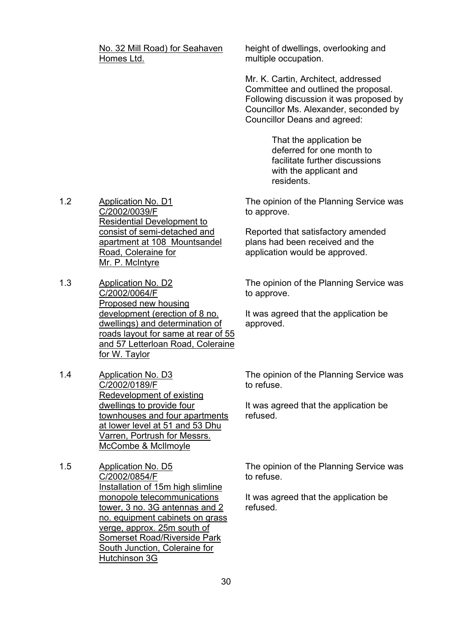No. 32 Mill Road) for Seahaven Homes Ltd.

height of dwellings, overlooking and multiple occupation.

Mr. K. Cartin, Architect, addressed Committee and outlined the proposal. Following discussion it was proposed by Councillor Ms. Alexander, seconded by Councillor Deans and agreed:

> That the application be deferred for one month to facilitate further discussions with the applicant and residents.

The opinion of the Planning Service was to approve.

Reported that satisfactory amended plans had been received and the application would be approved.

The opinion of the Planning Service was to approve.

It was agreed that the application be approved.

The opinion of the Planning Service was to refuse.

It was agreed that the application be refused.

The opinion of the Planning Service was to refuse.

It was agreed that the application be refused.

1.2 Application No. D1 C/2002/0039/F Residential Development to consist of semi-detached and apartment at 108 Mountsandel Road, Coleraine for Mr. P. McIntyre

- 1.3 Application No. D2 C/2002/0064/F Proposed new housing development (erection of 8 no. dwellings) and determination of roads layout for same at rear of 55 and 57 Letterloan Road, Coleraine for W. Taylor
- 1.4 Application No. D3 C/2002/0189/F Redevelopment of existing dwellings to provide four townhouses and four apartments at lower level at 51 and 53 Dhu Varren, Portrush for Messrs. McCombe & McIlmoyle
- 1.5 Application No. D5 C/2002/0854/F Installation of 15m high slimline monopole telecommunications tower, 3 no. 3G antennas and 2 no. equipment cabinets on grass verge, approx. 25m south of Somerset Road/Riverside Park South Junction, Coleraine for Hutchinson 3G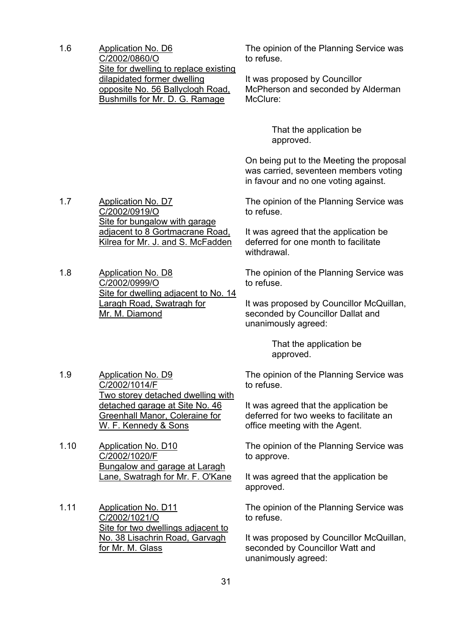1.6 Application No. D6 C/2002/0860/O Site for dwelling to replace existing dilapidated former dwelling opposite No. 56 Ballyclogh Road, Bushmills for Mr. D. G. Ramage

The opinion of the Planning Service was to refuse.

It was proposed by Councillor McPherson and seconded by Alderman McClure:

> That the application be approved.

On being put to the Meeting the proposal was carried, seventeen members voting in favour and no one voting against.

The opinion of the Planning Service was to refuse.

It was agreed that the application be deferred for one month to facilitate withdrawal.

The opinion of the Planning Service was to refuse.

It was proposed by Councillor McQuillan, seconded by Councillor Dallat and unanimously agreed:

> That the application be approved.

The opinion of the Planning Service was to refuse.

It was agreed that the application be deferred for two weeks to facilitate an office meeting with the Agent.

The opinion of the Planning Service was to approve.

It was agreed that the application be approved.

The opinion of the Planning Service was to refuse.

It was proposed by Councillor McQuillan, seconded by Councillor Watt and unanimously agreed:

1.7 Application No. D7 C/2002/0919/O Site for bungalow with garage adjacent to 8 Gortmacrane Road, Kilrea for Mr. J. and S. McFadden

1.8 Application No. D8 C/2002/0999/O Site for dwelling adjacent to No. 14 Laragh Road, Swatragh for Mr. M. Diamond

1.9 Application No. D9 C/2002/1014/F Two storey detached dwelling with detached garage at Site No. 46 Greenhall Manor, Coleraine for W. F. Kennedy & Sons

1.10 Application No. D10 C/2002/1020/F Bungalow and garage at Laragh Lane, Swatragh for Mr. F. O'Kane

1.11 Application No. D11 C/2002/1021/O Site for two dwellings adjacent to No. 38 Lisachrin Road, Garvagh for Mr. M. Glass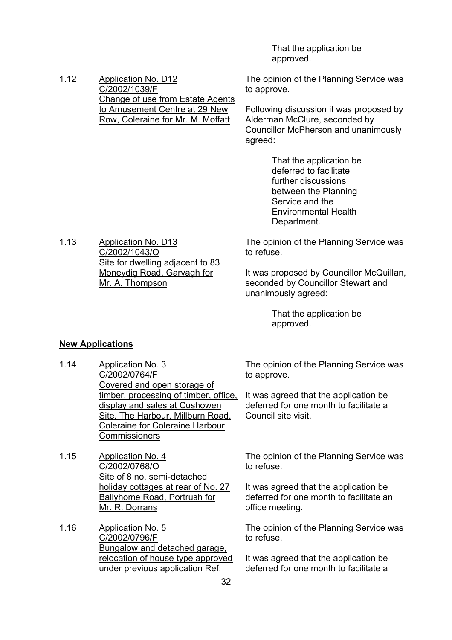That the application be approved.

1.12 Application No. D12 C/2002/1039/F Change of use from Estate Agents to Amusement Centre at 29 New Row, Coleraine for Mr. M. Moffatt

The opinion of the Planning Service was to approve.

Following discussion it was proposed by Alderman McClure, seconded by Councillor McPherson and unanimously agreed:

> That the application be deferred to facilitate further discussions between the Planning Service and the Environmental Health Department.

The opinion of the Planning Service was to refuse.

It was proposed by Councillor McQuillan, seconded by Councillor Stewart and unanimously agreed:

> That the application be approved.

#### **New Applications**

1.13 Application No. D13 C/2002/1043/O

Mr. A. Thompson

1.14 Application No. 3 C/2002/0764/F Covered and open storage of timber, processing of timber, office, display and sales at Cushowen Site, The Harbour, Millburn Road, Coleraine for Coleraine Harbour **Commissioners** 

Site for dwelling adjacent to 83 Moneydig Road, Garvagh for

- 1.15 Application No. 4 C/2002/0768/O Site of 8 no. semi-detached holiday cottages at rear of No. 27 Ballyhome Road, Portrush for Mr. R. Dorrans
- 1.16 Application No. 5 C/2002/0796/F Bungalow and detached garage, relocation of house type approved under previous application Ref:

The opinion of the Planning Service was to approve.

It was agreed that the application be deferred for one month to facilitate a Council site visit.

The opinion of the Planning Service was to refuse.

It was agreed that the application be deferred for one month to facilitate an office meeting.

The opinion of the Planning Service was to refuse.

It was agreed that the application be deferred for one month to facilitate a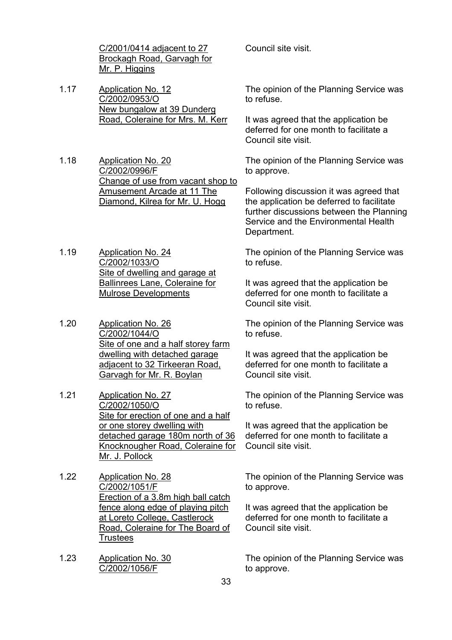C/2001/0414 adjacent to 27 Brockagh Road, Garvagh for Mr. P. Higgins

1.17 Application No. 12 C/2002/0953/O New bungalow at 39 Dunderg Road, Coleraine for Mrs. M. Kerr

1.18 Application No. 20 C/2002/0996/F Change of use from vacant shop to Amusement Arcade at 11 The Diamond, Kilrea for Mr. U. Hogg

- 1.19 Application No. 24 C/2002/1033/O Site of dwelling and garage at Ballinrees Lane, Coleraine for Mulrose Developments
- 1.20 Application No. 26 C/2002/1044/O Site of one and a half storey farm dwelling with detached garage adjacent to 32 Tirkeeran Road, Garvagh for Mr. R. Boylan
- 1.21 Application No. 27 C/2002/1050/O Site for erection of one and a half or one storey dwelling with detached garage 180m north of 36 Knocknougher Road, Coleraine for Mr. J. Pollock
- 1.22 Application No. 28 C/2002/1051/F Erection of a 3.8m high ball catch fence along edge of playing pitch at Loreto College, Castlerock Road, Coleraine for The Board of **Trustees**
- 1.23 Application No. 30 C/2002/1056/F

Council site visit.

The opinion of the Planning Service was to refuse.

It was agreed that the application be deferred for one month to facilitate a Council site visit.

The opinion of the Planning Service was to approve.

Following discussion it was agreed that the application be deferred to facilitate further discussions between the Planning Service and the Environmental Health Department.

The opinion of the Planning Service was to refuse.

It was agreed that the application be deferred for one month to facilitate a Council site visit.

The opinion of the Planning Service was to refuse.

It was agreed that the application be deferred for one month to facilitate a Council site visit.

The opinion of the Planning Service was to refuse.

It was agreed that the application be deferred for one month to facilitate a Council site visit.

The opinion of the Planning Service was to approve.

It was agreed that the application be deferred for one month to facilitate a Council site visit.

The opinion of the Planning Service was to approve.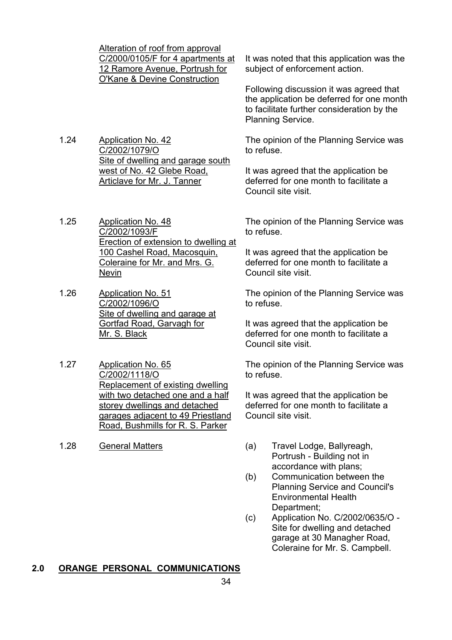|      | Alteration of roof from approval<br>C/2000/0105/F for 4 apartments at<br>12 Ramore Avenue, Portrush for<br><b>O'Kane &amp; Devine Construction</b> | It was noted that this application was the<br>subject of enforcement action.                                                                                   |
|------|----------------------------------------------------------------------------------------------------------------------------------------------------|----------------------------------------------------------------------------------------------------------------------------------------------------------------|
|      |                                                                                                                                                    | Following discussion it was agreed that<br>the application be deferred for one month<br>to facilitate further consideration by the<br><b>Planning Service.</b> |
| 1.24 | <b>Application No. 42</b><br>C/2002/1079/O                                                                                                         | The opinion of the Planning Service was<br>to refuse.                                                                                                          |
|      | Site of dwelling and garage south<br>west of No. 42 Glebe Road,<br>Articlave for Mr. J. Tanner                                                     | It was agreed that the application be<br>deferred for one month to facilitate a<br>Council site visit.                                                         |
| 1.25 | <b>Application No. 48</b><br>C/2002/1093/F<br>Erection of extension to dwelling at                                                                 | The opinion of the Planning Service was<br>to refuse.                                                                                                          |
|      | 100 Cashel Road, Macosquin,<br>Coleraine for Mr. and Mrs. G.<br>Nevin                                                                              | It was agreed that the application be<br>deferred for one month to facilitate a<br>Council site visit.                                                         |
| 1.26 | <b>Application No. 51</b><br>C/2002/1096/O                                                                                                         | The opinion of the Planning Service was<br>to refuse.                                                                                                          |
|      | Site of dwelling and garage at<br>Gortfad Road, Garvagh for<br>Mr. S. Black                                                                        | It was agreed that the application be<br>deferred for one month to facilitate a<br>Council site visit.                                                         |
| 1.27 | Application No. 65<br>C/2002/1118/O<br>Replacement of existing dwelling                                                                            | The opinion of the Planning Service was<br>to refuse.                                                                                                          |
|      | with two detached one and a half                                                                                                                   | It was agreed that the application be                                                                                                                          |

garages adjacent to 49 Priestland It was agreed that the application be deferred for one month to facilitate a Council site visit.

- 1.28 General Matters (a) Travel Lodge, Ballyreagh, Portrush - Building not in accordance with plans;
	- (b) Communication between the Planning Service and Council's Environmental Health Department;
	- (c) Application No. C/2002/0635/O Site for dwelling and detached garage at 30 Managher Road, Coleraine for Mr. S. Campbell.

## **2.0 ORANGE PERSONAL COMMUNICATIONS**

storey dwellings and detached

Road, Bushmills for R. S. Parker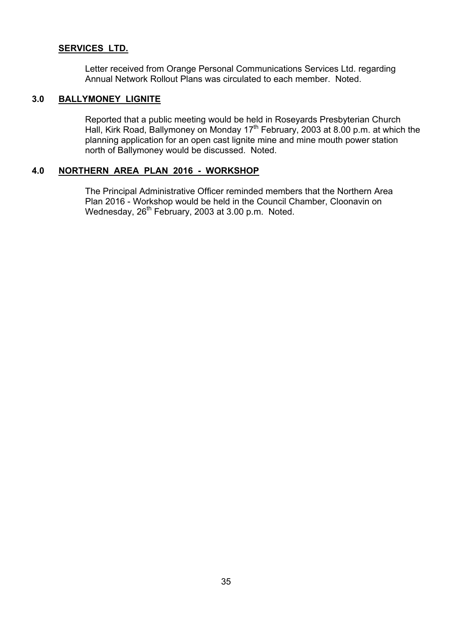#### **SERVICES LTD.**

 Letter received from Orange Personal Communications Services Ltd. regarding Annual Network Rollout Plans was circulated to each member. Noted.

#### **3.0 BALLYMONEY LIGNITE**

 Reported that a public meeting would be held in Roseyards Presbyterian Church Hall, Kirk Road, Ballymoney on Monday 17<sup>th</sup> February, 2003 at 8.00 p.m. at which the planning application for an open cast lignite mine and mine mouth power station north of Ballymoney would be discussed. Noted.

#### **4.0 NORTHERN AREA PLAN 2016 - WORKSHOP**

 The Principal Administrative Officer reminded members that the Northern Area Plan 2016 - Workshop would be held in the Council Chamber, Cloonavin on Wednesday, 26<sup>th</sup> February, 2003 at 3.00 p.m. Noted.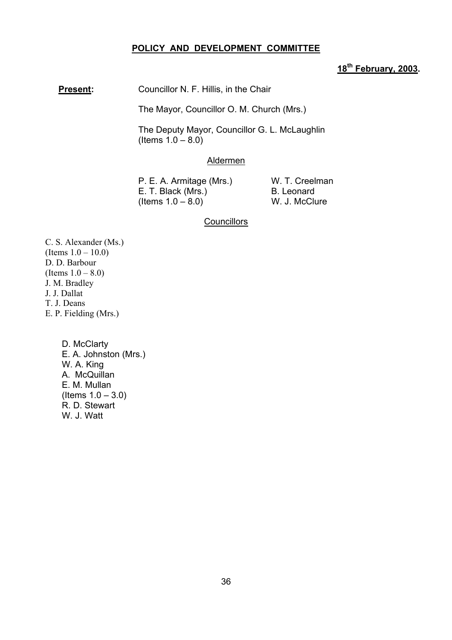#### **POLICY AND DEVELOPMENT COMMITTEE**

## **18th February, 2003.**

**Present:** Councillor N. F. Hillis, in the Chair

The Mayor, Councillor O. M. Church (Mrs.)

 The Deputy Mayor, Councillor G. L. McLaughlin  $($  ltems  $1.0 - 8.0)$ 

#### Aldermen

P. E. A. Armitage (Mrs.) W. T. Creelman E. T. Black (Mrs.) B. Leonard  $($  Items  $1.0 - 8.0$  W. J. McClure

#### **Councillors**

C. S. Alexander (Ms.) (Items  $1.0 - 10.0$ ) D. D. Barbour (Items  $1.0 - 8.0$ ) J. M. Bradley J. J. Dallat T. J. Deans E. P. Fielding (Mrs.)

> D. McClarty E. A. Johnston (Mrs.) W. A. King A. McQuillan E. M. Mullan  $($ ltems  $1.0 - 3.0)$ R. D. Stewart W. J. Watt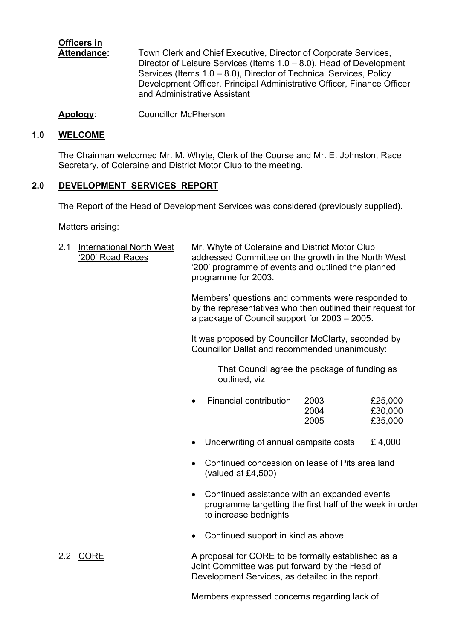# **Officers in**

 **Attendance:** Town Clerk and Chief Executive, Director of Corporate Services, Director of Leisure Services (Items  $1.0 - 8.0$ ), Head of Development Services (Items  $1.0 - 8.0$ ), Director of Technical Services, Policy Development Officer, Principal Administrative Officer, Finance Officer and Administrative Assistant

**Apology**: Councillor McPherson

## **1.0 WELCOME**

The Chairman welcomed Mr. M. Whyte, Clerk of the Course and Mr. E. Johnston, Race Secretary, of Coleraine and District Motor Club to the meeting.

## **2.0 DEVELOPMENT SERVICES REPORT**

The Report of the Head of Development Services was considered (previously supplied).

Matters arising:

2.1 International North West Mr. Whyte of Coleraine and District Motor Club ë200í Road Races addressed Committee on the growth in the North West '200' programme of events and outlined the planned programme for 2003.

> Members' questions and comments were responded to by the representatives who then outlined their request for a package of Council support for  $2003 - 2005$ .

 It was proposed by Councillor McClarty, seconded by Councillor Dallat and recommended unanimously:

> That Council agree the package of funding as outlined, viz

| Financial contribution | 2003 | £25,000 |
|------------------------|------|---------|
|                        | 2004 | £30,000 |
|                        | 2005 | £35,000 |

- Underwriting of annual campsite costs  $£ 4,000$
- Continued concession on lease of Pits area land (valued at £4,500)
- Continued assistance with an expanded events programme targetting the first half of the week in order to increase bednights
- Continued support in kind as above

2.2 CORE A proposal for CORE to be formally established as a Joint Committee was put forward by the Head of Development Services, as detailed in the report.

Members expressed concerns regarding lack of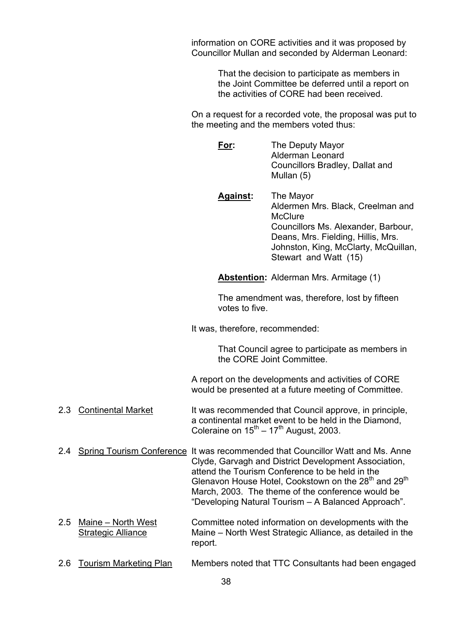information on CORE activities and it was proposed by Councillor Mullan and seconded by Alderman Leonard:

> That the decision to participate as members in the Joint Committee be deferred until a report on the activities of CORE had been received.

 On a request for a recorded vote, the proposal was put to the meeting and the members voted thus:

- **For:** The Deputy Mayor Alderman Leonard Councillors Bradley, Dallat and Mullan (5)
- **Against:** The Mayor Aldermen Mrs. Black, Creelman and **McClure**  Councillors Ms. Alexander, Barbour, Deans, Mrs. Fielding, Hillis, Mrs. Johnston, King, McClarty, McQuillan, Stewart and Watt (15)

**Abstention:** Alderman Mrs. Armitage (1)

 The amendment was, therefore, lost by fifteen votes to five.

It was, therefore, recommended:

 That Council agree to participate as members in the CORE Joint Committee.

 A report on the developments and activities of CORE would be presented at a future meeting of Committee.

- 2.3 Continental Market It was recommended that Council approve, in principle, a continental market event to be held in the Diamond, Coleraine on  $15^{th} - 17^{th}$  August, 2003.
- 2.4 Spring Tourism Conference It was recommended that Councillor Watt and Ms. Anne Clyde, Garvagh and District Development Association, attend the Tourism Conference to be held in the Glenavon House Hotel, Cookstown on the 28<sup>th</sup> and 29<sup>th</sup> March, 2003. The theme of the conference would be "Developing Natural Tourism – A Balanced Approach".
- 2.5 Maine North West Committee noted information on developments with the Strategic Alliance Maine – North West Strategic Alliance, as detailed in the report.
- 2.6 Tourism Marketing Plan Members noted that TTC Consultants had been engaged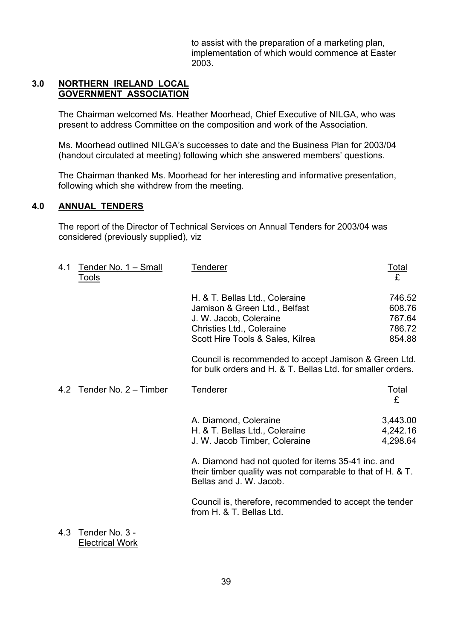to assist with the preparation of a marketing plan, implementation of which would commence at Easter 2003.

#### **3.0 NORTHERN IRELAND LOCAL GOVERNMENT ASSOCIATION**

The Chairman welcomed Ms. Heather Moorhead, Chief Executive of NILGA, who was present to address Committee on the composition and work of the Association.

Ms. Moorhead outlined NILGA's successes to date and the Business Plan for 2003/04 (handout circulated at meeting) following which she answered members' questions.

The Chairman thanked Ms. Moorhead for her interesting and informative presentation, following which she withdrew from the meeting.

## **4.0 ANNUAL TENDERS**

The report of the Director of Technical Services on Annual Tenders for 2003/04 was considered (previously supplied), viz

| 4.1 | Tender No. 1 - Small<br><u>Tools</u> | <b>Tenderer</b>                                                                                                                                            | <u>Total</u><br>£                              |
|-----|--------------------------------------|------------------------------------------------------------------------------------------------------------------------------------------------------------|------------------------------------------------|
|     |                                      | H. & T. Bellas Ltd., Coleraine<br>Jamison & Green Ltd., Belfast<br>J. W. Jacob, Coleraine<br>Christies Ltd., Coleraine<br>Scott Hire Tools & Sales, Kilrea | 746.52<br>608.76<br>767.64<br>786.72<br>854.88 |
|     |                                      | Council is recommended to accept Jamison & Green Ltd.<br>for bulk orders and H. & T. Bellas Ltd. for smaller orders.                                       |                                                |
|     | 4.2 Tender No. 2 - Timber            | <b>Tenderer</b>                                                                                                                                            | <u>Total</u><br>£                              |
|     |                                      | A. Diamond, Coleraine<br>H. & T. Bellas Ltd., Coleraine<br>J. W. Jacob Timber, Coleraine                                                                   | 3,443.00<br>4,242.16<br>4,298.64               |
|     |                                      | A. Diamond had not quoted for items 35-41 inc. and<br>their timber quality was not comparable to that of H. & T.<br>Bellas and J. W. Jacob.                |                                                |
|     |                                      | Council is, therefore, recommended to accept the tender<br>from H. & T. Bellas Ltd.                                                                        |                                                |

4.3 Tender No. 3 - Electrical Work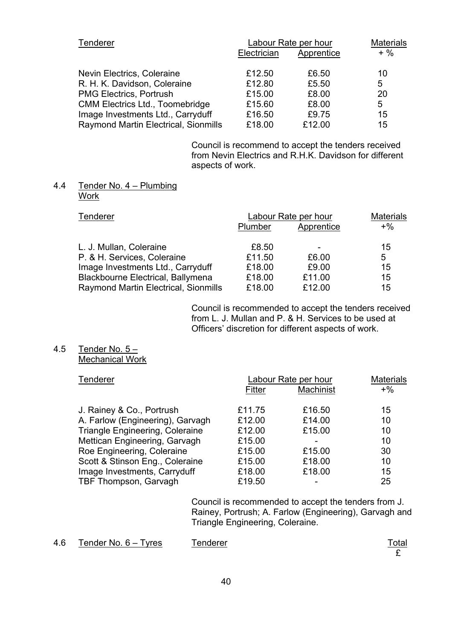| <b>Tenderer</b>                        | Labour Rate per hour |            | <b>Materials</b> |  |
|----------------------------------------|----------------------|------------|------------------|--|
|                                        | Electrician          | Apprentice | $+$ %            |  |
| Nevin Electrics, Coleraine             | £12.50               | £6.50      | 10               |  |
| R. H. K. Davidson, Coleraine           | £12.80               | £5.50      | 5                |  |
| <b>PMG Electrics, Portrush</b>         | £15.00               | £8.00      | 20               |  |
| <b>CMM Electrics Ltd., Toomebridge</b> | £15.60               | £8.00      | 5                |  |
| Image Investments Ltd., Carryduff      | £16.50               | £9.75      | 15               |  |
| Raymond Martin Electrical, Sionmills   | £18.00               | £12.00     | 15               |  |
|                                        |                      |            |                  |  |

 Council is recommend to accept the tenders received from Nevin Electrics and R.H.K. Davidson for different aspects of work.

#### 4.4 Tender No.  $4 -$  Plumbing **Work**

| Tenderer                             |         | Labour Rate per hour |       |
|--------------------------------------|---------|----------------------|-------|
|                                      | Plumber | Apprentice           | $+$ % |
| L. J. Mullan, Coleraine              | £8.50   |                      | 15    |
| P. & H. Services, Coleraine          | £11.50  | £6.00                | 5     |
| Image Investments Ltd., Carryduff    | £18.00  | £9.00                | 15    |
| Blackbourne Electrical, Ballymena    | £18.00  | £11.00               | 15    |
| Raymond Martin Electrical, Sionmills | £18.00  | £12.00               | 15    |

 Council is recommended to accept the tenders received from L. J. Mullan and P. & H. Services to be used at Officers' discretion for different aspects of work.

#### 4.5 Tender No.  $5 -$ Mechanical Work

Tenderer Labour Rate per hour Materials

| <u>i</u> chucici                 | Lavuu Talc pci Iluul |           | <b>IVIQUEI IQIS</b> |  |
|----------------------------------|----------------------|-----------|---------------------|--|
|                                  | Fitter               | Machinist | $+$ %               |  |
| J. Rainey & Co., Portrush        | £11.75               | £16.50    | 15                  |  |
| A. Farlow (Engineering), Garvagh | £12.00               | £14.00    | 10                  |  |
| Triangle Engineering, Coleraine  | £12.00               | £15.00    | 10                  |  |
| Mettican Engineering, Garvagh    | £15.00               |           | 10                  |  |
| Roe Engineering, Coleraine       | £15.00               | £15.00    | 30                  |  |
| Scott & Stinson Eng., Coleraine  | £15.00               | £18.00    | 10                  |  |
| Image Investments, Carryduff     | £18.00               | £18.00    | 15                  |  |
| TBF Thompson, Garvagh            | £19.50               |           | 25                  |  |

 Council is recommended to accept the tenders from J. Rainey, Portrush; A. Farlow (Engineering), Garvagh and Triangle Engineering, Coleraine.

4.6 Tender No. 6 – Tyres Tenderer Tenderer States Total E

£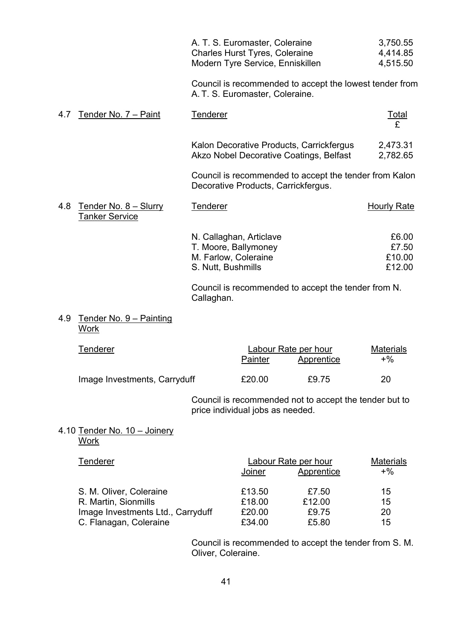|                                                       | A. T. S. Euromaster, Coleraine<br><b>Charles Hurst Tyres, Coleraine</b><br>Modern Tyre Service, Enniskillen | 3,750.55<br>4,414.85<br>4,515.50   |
|-------------------------------------------------------|-------------------------------------------------------------------------------------------------------------|------------------------------------|
|                                                       | Council is recommended to accept the lowest tender from<br>A. T. S. Euromaster, Coleraine.                  |                                    |
| Tender No. 7 - Paint<br>4.7                           | Tenderer                                                                                                    | $\frac{Total}{f}$                  |
|                                                       | Kalon Decorative Products, Carrickfergus<br>Akzo Nobel Decorative Coatings, Belfast                         | 2,473.31<br>2,782.65               |
|                                                       | Council is recommended to accept the tender from Kalon<br>Decorative Products, Carrickfergus.               |                                    |
| Tender No. 8 - Slurry<br>4.8<br><b>Tanker Service</b> | <b>Tenderer</b>                                                                                             | Hourly Rate                        |
|                                                       | N. Callaghan, Articlave<br>T. Moore, Ballymoney<br>M. Farlow, Coleraine<br>S. Nutt, Bushmills               | £6.00<br>£7.50<br>£10.00<br>£12.00 |

 Council is recommended to accept the tender from N. Callaghan.

#### 4.9 Tender No.  $9 -$  Painting **Work**

| Tenderer                     | Labour Rate per hour |            | <b>Materials</b> |  |
|------------------------------|----------------------|------------|------------------|--|
|                              | Painter              | Apprentice | $+$ %            |  |
| Image Investments, Carryduff | £20.00               | £9.75      | 20               |  |

 Council is recommended not to accept the tender but to price individual jobs as needed.

## 4.10 Tender No.  $10 -$  Joinery **Work**

| Tenderer                          | Labour Rate per hour |            | <b>Materials</b> |  |
|-----------------------------------|----------------------|------------|------------------|--|
|                                   | Joiner               | Apprentice | $+$ %            |  |
| S. M. Oliver, Coleraine           | £13.50               | £7.50      | 15               |  |
| R. Martin, Sionmills              | £18.00               | £12.00     | 15               |  |
| Image Investments Ltd., Carryduff | £20.00               | £9.75      | 20               |  |
| C. Flanagan, Coleraine            | £34.00               | £5.80      | 15               |  |

 Council is recommended to accept the tender from S. M. Oliver, Coleraine.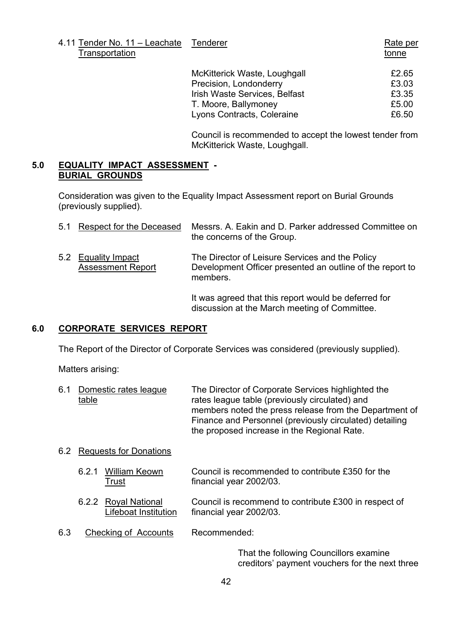4.11 Tender No. 11 – Leachate Tenderer Rate per **Transportation** tonne tonne tonne tonne tonne tonne tonne tonne tonne tonne tonne tonne tonne tonne tonne tonne tonne tonne tonne tonne tonne tonne tonne tonne tonne tonne tonne tonne tonne tonne tonne tonne tonne tonne t

| McKitterick Waste, Loughgall  | £2.65 |
|-------------------------------|-------|
| Precision, Londonderry        | £3.03 |
| Irish Waste Services, Belfast | £3.35 |
| T. Moore, Ballymoney          | £5.00 |
| Lyons Contracts, Coleraine    | £6.50 |

 Council is recommended to accept the lowest tender from McKitterick Waste, Loughgall.

discussion at the March meeting of Committee.

#### **5.0 EQUALITY IMPACT ASSESSMENT - BURIAL GROUNDS**

Consideration was given to the Equality Impact Assessment report on Burial Grounds (previously supplied).

| 5.1 | Respect for the Deceased                    | Messrs. A. Eakin and D. Parker addressed Committee on<br>the concerns of the Group.                                      |
|-----|---------------------------------------------|--------------------------------------------------------------------------------------------------------------------------|
| 5.2 | Equality Impact<br><b>Assessment Report</b> | The Director of Leisure Services and the Policy<br>Development Officer presented an outline of the report to<br>members. |
|     |                                             | It was agreed that this report would be deferred for                                                                     |

#### **6.0 CORPORATE SERVICES REPORT**

The Report of the Director of Corporate Services was considered (previously supplied).

Matters arising:

| 6.1 Domestic rates league | The Director of Corporate Services highlighted the      |
|---------------------------|---------------------------------------------------------|
| table                     | rates league table (previously circulated) and          |
|                           | members noted the press release from the Department of  |
|                           | Finance and Personnel (previously circulated) detailing |
|                           | the proposed increase in the Regional Rate.             |

#### 6.2 Requests for Donations

- 6.2.1 William Keown Council is recommended to contribute £350 for the Trust financial year 2002/03.
- 6.2.2 Royal National Council is recommend to contribute £300 in respect of Lifeboat Institution financial year 2002/03.
- 6.3 Checking of Accounts Recommended:

 That the following Councillors examine creditors' payment vouchers for the next three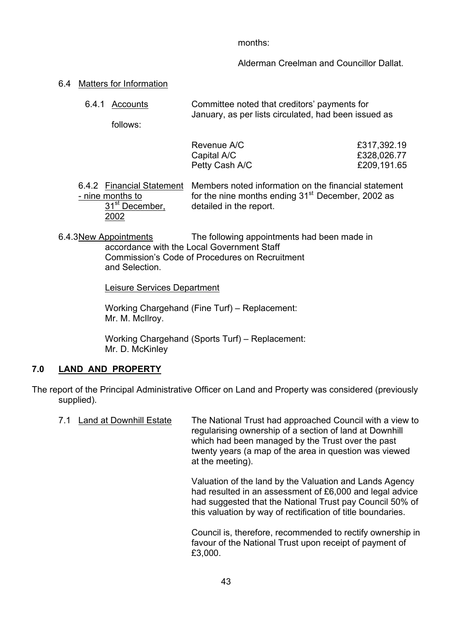months:

Alderman Creelman and Councillor Dallat.

- 6.4 Matters for Information
	- 6.4.1 Accounts Committee noted that creditorsí payments for January, as per lists circulated, had been issued as

follows:

| Revenue A/C    | £317,392.19 |
|----------------|-------------|
| Capital A/C    | £328,026.77 |
| Petty Cash A/C | £209,191.65 |

6.4.2 <u>Financial Statement</u> Members noted information on the financial statement - nine months to  $\frac{1}{10}$  for the nine months ending 31<sup>st</sup> December. 2002 as - nine months to for the nine months ending 31st December, 2002 as detailed in the report. 2002

 6.4.3 New Appointments The following appointments had been made in accordance with the Local Government Staff Commission's Code of Procedures on Recruitment and Selection.

Leisure Services Department

Working Chargehand (Fine Turf) – Replacement: Mr. M. McIlroy.

Working Chargehand (Sports Turf) - Replacement: Mr. D. McKinley

## **7.0 LAND AND PROPERTY**

The report of the Principal Administrative Officer on Land and Property was considered (previously supplied).

| 7.1 | Land at Downhill Estate | The National Trust had approached Council with a view to<br>regularising ownership of a section of land at Downhill<br>which had been managed by the Trust over the past<br>twenty years (a map of the area in question was viewed<br>at the meeting). |
|-----|-------------------------|--------------------------------------------------------------------------------------------------------------------------------------------------------------------------------------------------------------------------------------------------------|
|     |                         | Valuation of the land by the Valuation and Lands Agency<br>had resulted in an assessment of £6,000 and legal advice<br>had suggested that the National Trust pay Council 50% of<br>this valuation by way of rectification of title boundaries.         |

 Council is, therefore, recommended to rectify ownership in favour of the National Trust upon receipt of payment of £3,000.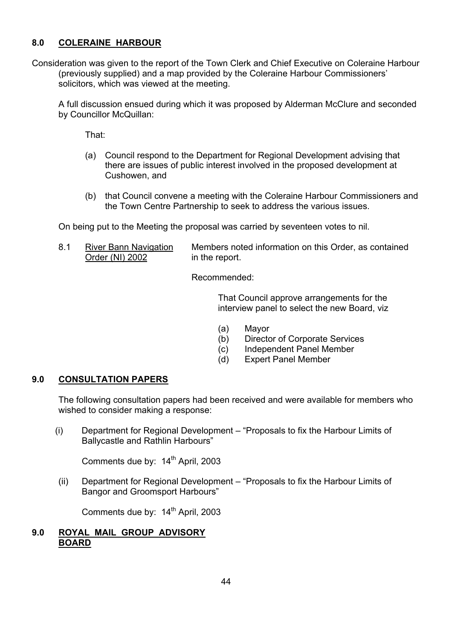## **8.0 COLERAINE HARBOUR**

Consideration was given to the report of the Town Clerk and Chief Executive on Coleraine Harbour (previously supplied) and a map provided by the Coleraine Harbour Commissionersí solicitors, which was viewed at the meeting.

A full discussion ensued during which it was proposed by Alderman McClure and seconded by Councillor McQuillan:

That:

- (a) Council respond to the Department for Regional Development advising that there are issues of public interest involved in the proposed development at Cushowen, and
- (b) that Council convene a meeting with the Coleraine Harbour Commissioners and the Town Centre Partnership to seek to address the various issues.

On being put to the Meeting the proposal was carried by seventeen votes to nil.

8.1 River Bann Navigation Members noted information on this Order, as contained Order (NI) 2002 in the report.

Recommended:

 That Council approve arrangements for the interview panel to select the new Board, viz

- (a) Mayor
- (b) Director of Corporate Services
- (c) Independent Panel Member
- (d) Expert Panel Member

## **9.0 CONSULTATION PAPERS**

The following consultation papers had been received and were available for members who wished to consider making a response:

 $(i)$  Department for Regional Development  $-$  "Proposals to fix the Harbour Limits of Ballycastle and Rathlin Harbours"

Comments due by: 14<sup>th</sup> April, 2003

(ii) Department for Regional Development – "Proposals to fix the Harbour Limits of Bangor and Groomsport Harbours"

Comments due by: 14<sup>th</sup> April, 2003

#### **9.0 ROYAL MAIL GROUP ADVISORY BOARD**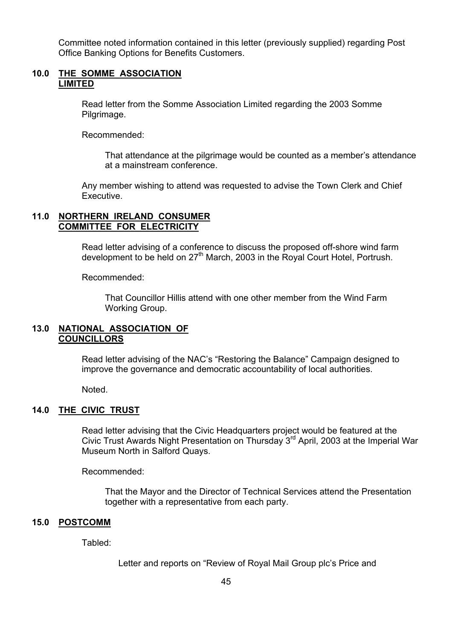Committee noted information contained in this letter (previously supplied) regarding Post Office Banking Options for Benefits Customers.

#### **10.0 THE SOMME ASSOCIATION LIMITED**

 Read letter from the Somme Association Limited regarding the 2003 Somme Pilgrimage.

Recommended:

That attendance at the pilgrimage would be counted as a member's attendance at a mainstream conference.

 Any member wishing to attend was requested to advise the Town Clerk and Chief Executive.

#### **11.0 NORTHERN IRELAND CONSUMER COMMITTEE FOR ELECTRICITY**

Read letter advising of a conference to discuss the proposed off-shore wind farm development to be held on 27<sup>th</sup> March, 2003 in the Royal Court Hotel, Portrush.

Recommended:

 That Councillor Hillis attend with one other member from the Wind Farm Working Group.

#### **13.0 NATIONAL ASSOCIATION OF COUNCILLORS**

Read letter advising of the NAC's "Restoring the Balance" Campaign designed to improve the governance and democratic accountability of local authorities.

Noted.

#### **14.0 THE CIVIC TRUST**

Read letter advising that the Civic Headquarters project would be featured at the Civic Trust Awards Night Presentation on Thursday  $3<sup>rd</sup>$  April, 2003 at the Imperial War Museum North in Salford Quays.

Recommended:

 That the Mayor and the Director of Technical Services attend the Presentation together with a representative from each party.

#### **15.0 POSTCOMM**

Tabled:

Letter and reports on "Review of Royal Mail Group plc's Price and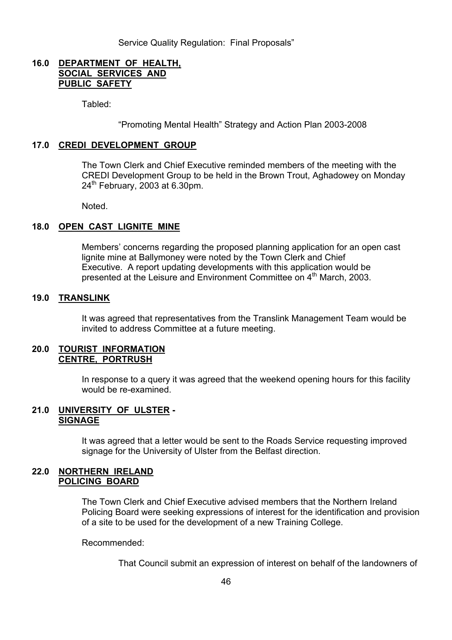#### **16.0 DEPARTMENT OF HEALTH, SOCIAL SERVICES AND PUBLIC SAFETY**

Tabled:

ìPromoting Mental Healthî Strategy and Action Plan 2003-2008

#### **17.0 CREDI DEVELOPMENT GROUP**

 The Town Clerk and Chief Executive reminded members of the meeting with the CREDI Development Group to be held in the Brown Trout, Aghadowey on Monday  $24<sup>th</sup>$  February, 2003 at 6.30pm.

Noted.

#### **18.0 OPEN CAST LIGNITE MINE**

Members' concerns regarding the proposed planning application for an open cast lignite mine at Ballymoney were noted by the Town Clerk and Chief Executive. A report updating developments with this application would be presented at the Leisure and Environment Committee on 4<sup>th</sup> March, 2003.

#### **19.0 TRANSLINK**

It was agreed that representatives from the Translink Management Team would be invited to address Committee at a future meeting.

#### **20.0 TOURIST INFORMATION CENTRE, PORTRUSH**

 In response to a query it was agreed that the weekend opening hours for this facility would be re-examined.

#### **21.0 UNIVERSITY OF ULSTER - SIGNAGE**

It was agreed that a letter would be sent to the Roads Service requesting improved signage for the University of Ulster from the Belfast direction.

#### **22.0 NORTHERN IRELAND POLICING BOARD**

The Town Clerk and Chief Executive advised members that the Northern Ireland Policing Board were seeking expressions of interest for the identification and provision of a site to be used for the development of a new Training College.

Recommended:

That Council submit an expression of interest on behalf of the landowners of